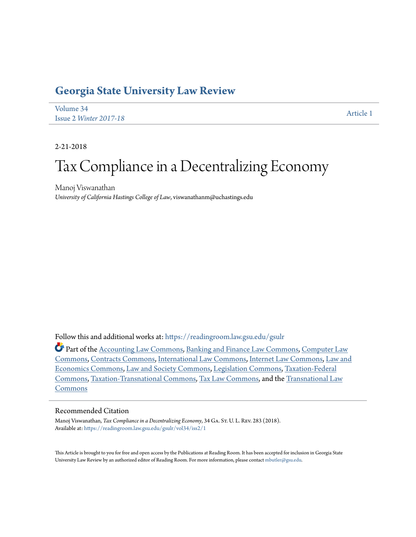# **[Georgia State University Law Review](https://readingroom.law.gsu.edu/gsulr?utm_source=readingroom.law.gsu.edu%2Fgsulr%2Fvol34%2Fiss2%2F1&utm_medium=PDF&utm_campaign=PDFCoverPages)**

[Volume 34](https://readingroom.law.gsu.edu/gsulr/vol34?utm_source=readingroom.law.gsu.edu%2Fgsulr%2Fvol34%2Fiss2%2F1&utm_medium=PDF&utm_campaign=PDFCoverPages) Issue 2 *[Winter 2017-18](https://readingroom.law.gsu.edu/gsulr/vol34/iss2?utm_source=readingroom.law.gsu.edu%2Fgsulr%2Fvol34%2Fiss2%2F1&utm_medium=PDF&utm_campaign=PDFCoverPages)* [Article 1](https://readingroom.law.gsu.edu/gsulr/vol34/iss2/1?utm_source=readingroom.law.gsu.edu%2Fgsulr%2Fvol34%2Fiss2%2F1&utm_medium=PDF&utm_campaign=PDFCoverPages)

2-21-2018

# Tax Compliance in a Decentralizing Economy

Manoj Viswanathan *University of California Hastings College of Law*, viswanathanm@uchastings.edu

Follow this and additional works at: [https://readingroom.law.gsu.edu/gsulr](https://readingroom.law.gsu.edu/gsulr?utm_source=readingroom.law.gsu.edu%2Fgsulr%2Fvol34%2Fiss2%2F1&utm_medium=PDF&utm_campaign=PDFCoverPages)

Part of the [Accounting Law Commons](http://network.bepress.com/hgg/discipline/828?utm_source=readingroom.law.gsu.edu%2Fgsulr%2Fvol34%2Fiss2%2F1&utm_medium=PDF&utm_campaign=PDFCoverPages), [Banking and Finance Law Commons](http://network.bepress.com/hgg/discipline/833?utm_source=readingroom.law.gsu.edu%2Fgsulr%2Fvol34%2Fiss2%2F1&utm_medium=PDF&utm_campaign=PDFCoverPages), [Computer Law](http://network.bepress.com/hgg/discipline/837?utm_source=readingroom.law.gsu.edu%2Fgsulr%2Fvol34%2Fiss2%2F1&utm_medium=PDF&utm_campaign=PDFCoverPages) [Commons,](http://network.bepress.com/hgg/discipline/837?utm_source=readingroom.law.gsu.edu%2Fgsulr%2Fvol34%2Fiss2%2F1&utm_medium=PDF&utm_campaign=PDFCoverPages) [Contracts Commons,](http://network.bepress.com/hgg/discipline/591?utm_source=readingroom.law.gsu.edu%2Fgsulr%2Fvol34%2Fiss2%2F1&utm_medium=PDF&utm_campaign=PDFCoverPages) [International Law Commons](http://network.bepress.com/hgg/discipline/609?utm_source=readingroom.law.gsu.edu%2Fgsulr%2Fvol34%2Fiss2%2F1&utm_medium=PDF&utm_campaign=PDFCoverPages), [Internet Law Commons,](http://network.bepress.com/hgg/discipline/892?utm_source=readingroom.law.gsu.edu%2Fgsulr%2Fvol34%2Fiss2%2F1&utm_medium=PDF&utm_campaign=PDFCoverPages) [Law and](http://network.bepress.com/hgg/discipline/612?utm_source=readingroom.law.gsu.edu%2Fgsulr%2Fvol34%2Fiss2%2F1&utm_medium=PDF&utm_campaign=PDFCoverPages) [Economics Commons](http://network.bepress.com/hgg/discipline/612?utm_source=readingroom.law.gsu.edu%2Fgsulr%2Fvol34%2Fiss2%2F1&utm_medium=PDF&utm_campaign=PDFCoverPages), [Law and Society Commons,](http://network.bepress.com/hgg/discipline/853?utm_source=readingroom.law.gsu.edu%2Fgsulr%2Fvol34%2Fiss2%2F1&utm_medium=PDF&utm_campaign=PDFCoverPages) [Legislation Commons](http://network.bepress.com/hgg/discipline/859?utm_source=readingroom.law.gsu.edu%2Fgsulr%2Fvol34%2Fiss2%2F1&utm_medium=PDF&utm_campaign=PDFCoverPages), [Taxation-Federal](http://network.bepress.com/hgg/discipline/881?utm_source=readingroom.law.gsu.edu%2Fgsulr%2Fvol34%2Fiss2%2F1&utm_medium=PDF&utm_campaign=PDFCoverPages) [Commons,](http://network.bepress.com/hgg/discipline/881?utm_source=readingroom.law.gsu.edu%2Fgsulr%2Fvol34%2Fiss2%2F1&utm_medium=PDF&utm_campaign=PDFCoverPages) [Taxation-Transnational Commons](http://network.bepress.com/hgg/discipline/883?utm_source=readingroom.law.gsu.edu%2Fgsulr%2Fvol34%2Fiss2%2F1&utm_medium=PDF&utm_campaign=PDFCoverPages), [Tax Law Commons,](http://network.bepress.com/hgg/discipline/898?utm_source=readingroom.law.gsu.edu%2Fgsulr%2Fvol34%2Fiss2%2F1&utm_medium=PDF&utm_campaign=PDFCoverPages) and the [Transnational Law](http://network.bepress.com/hgg/discipline/1123?utm_source=readingroom.law.gsu.edu%2Fgsulr%2Fvol34%2Fiss2%2F1&utm_medium=PDF&utm_campaign=PDFCoverPages) [Commons](http://network.bepress.com/hgg/discipline/1123?utm_source=readingroom.law.gsu.edu%2Fgsulr%2Fvol34%2Fiss2%2F1&utm_medium=PDF&utm_campaign=PDFCoverPages)

# Recommended Citation

Manoj Viswanathan, *Tax Compliance in a Decentralizing Economy*, 34 GA. St. U. L. REV. 283 (2018). Available at: [https://readingroom.law.gsu.edu/gsulr/vol34/iss2/1](https://readingroom.law.gsu.edu/gsulr/vol34/iss2/1?utm_source=readingroom.law.gsu.edu%2Fgsulr%2Fvol34%2Fiss2%2F1&utm_medium=PDF&utm_campaign=PDFCoverPages)

This Article is brought to you for free and open access by the Publications at Reading Room. It has been accepted for inclusion in Georgia State University Law Review by an authorized editor of Reading Room. For more information, please contact [mbutler@gsu.edu.](mailto:mbutler@gsu.edu)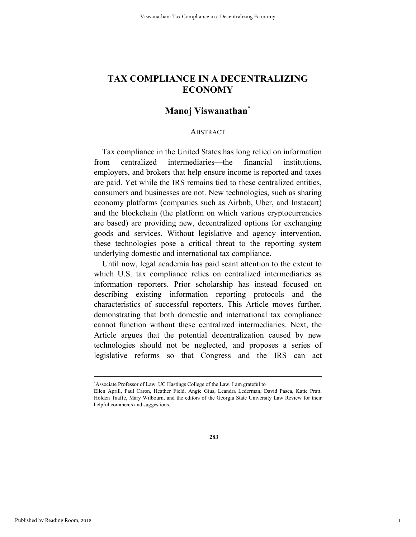# **Manoj Viswanathan\***

#### ABSTRACT

Tax compliance in the United States has long relied on information from centralized intermediaries—the financial institutions, employers, and brokers that help ensure income is reported and taxes are paid. Yet while the IRS remains tied to these centralized entities, consumers and businesses are not. New technologies, such as sharing economy platforms (companies such as Airbnb, Uber, and Instacart) and the blockchain (the platform on which various cryptocurrencies are based) are providing new, decentralized options for exchanging goods and services. Without legislative and agency intervention, these technologies pose a critical threat to the reporting system underlying domestic and international tax compliance.

Until now, legal academia has paid scant attention to the extent to which U.S. tax compliance relies on centralized intermediaries as information reporters. Prior scholarship has instead focused on describing existing information reporting protocols and the characteristics of successful reporters. This Article moves further, demonstrating that both domestic and international tax compliance cannot function without these centralized intermediaries. Next, the Article argues that the potential decentralization caused by new technologies should not be neglected, and proposes a series of legislative reforms so that Congress and the IRS can act

1

 <sup>\*</sup> Associate Professor of Law, UC Hastings College of the Law. I am grateful to

Ellen Aprill, Paul Caron, Heather Field, Angie Gius, Leandra Lederman, David Pasca, Katie Pratt, Holden Taaffe, Mary Wilbourn, and the editors of the Georgia State University Law Review for their helpful comments and suggestions.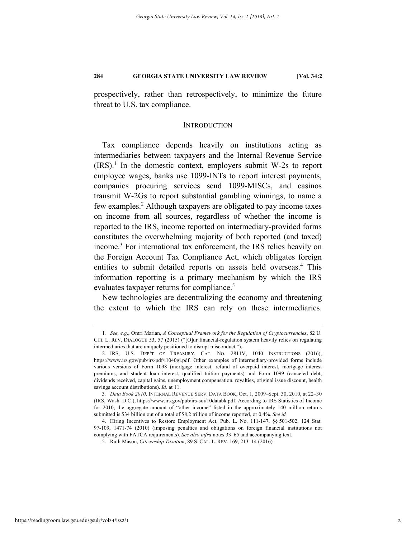prospectively, rather than retrospectively, to minimize the future threat to U.S. tax compliance.

#### INTRODUCTION

Tax compliance depends heavily on institutions acting as intermediaries between taxpayers and the Internal Revenue Service  $(IRS).<sup>1</sup>$  In the domestic context, employers submit W-2s to report employee wages, banks use 1099-INTs to report interest payments, companies procuring services send 1099-MISCs, and casinos transmit W-2Gs to report substantial gambling winnings, to name a few examples.<sup>2</sup> Although taxpayers are obligated to pay income taxes on income from all sources, regardless of whether the income is reported to the IRS, income reported on intermediary-provided forms constitutes the overwhelming majority of both reported (and taxed) income.<sup>3</sup> For international tax enforcement, the IRS relies heavily on the Foreign Account Tax Compliance Act, which obligates foreign entities to submit detailed reports on assets held overseas.<sup>4</sup> This information reporting is a primary mechanism by which the IRS evaluates taxpayer returns for compliance.<sup>5</sup>

New technologies are decentralizing the economy and threatening the extent to which the IRS can rely on these intermediaries.

 <sup>1</sup>*. See, e.g.*, Omri Marian, *A Conceptual Framework for the Regulation of Cryptocurrencies*, 82 U. CHI. L. REV. DIALOGUE 53, 57 (2015) ("[O]ur financial-regulation system heavily relies on regulating intermediaries that are uniquely positioned to disrupt misconduct.").

 <sup>2.</sup> IRS, U.S. DEP'T OF TREASURY, CAT. NO. 2811V, 1040 INSTRUCTIONS (2016), https://www.irs.gov/pub/irs-pdf/i1040gi.pdf. Other examples of intermediary-provided forms include various versions of Form 1098 (mortgage interest, refund of overpaid interest, mortgage interest premiums, and student loan interest, qualified tuition payments) and Form 1099 (canceled debt, dividends received, capital gains, unemployment compensation, royalties, original issue discount, health savings account distributions). *Id.* at 11.

<sup>3</sup>*. Data Book 2010*, INTERNAL REVENUE SERV. DATA BOOK, Oct. 1, 2009–Sept. 30, 2010, at 22–30 (IRS, Wash. D.C.), https://www.irs.gov/pub/irs-soi/10databk.pdf. According to IRS Statistics of Income for 2010, the aggregate amount of "other income" listed in the approximately 140 million returns submitted is \$34 billion out of a total of \$8.2 trillion of income reported, or 0.4%. *See id.* 

 <sup>4.</sup> Hiring Incentives to Restore Employment Act, Pub. L. No. 111-147, §§ 501-502, 124 Stat. 97-109, 1471-74 (2010) (imposing penalties and obligations on foreign financial institutions not complying with FATCA requirements). *See also infra* notes 33–65 and accompanying text.

 <sup>5.</sup> Ruth Mason, *Citizenship Taxation*, 89 S. CAL. L. REV. 169, 213–14 (2016).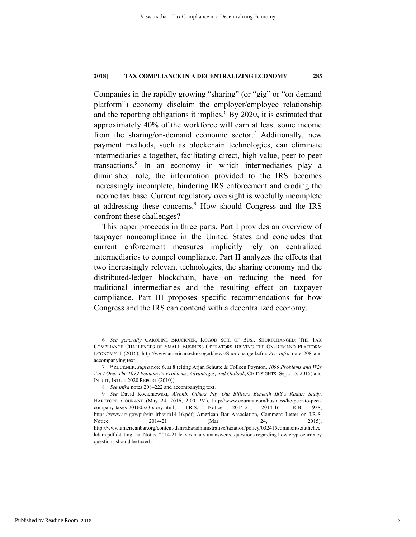Companies in the rapidly growing "sharing" (or "gig" or "on-demand platform") economy disclaim the employer/employee relationship and the reporting obligations it implies.<sup>6</sup> By 2020, it is estimated that approximately 40% of the workforce will earn at least some income from the sharing/on-demand economic sector.<sup>7</sup> Additionally, new payment methods, such as blockchain technologies, can eliminate intermediaries altogether, facilitating direct, high-value, peer-to-peer transactions.8 In an economy in which intermediaries play a diminished role, the information provided to the IRS becomes increasingly incomplete, hindering IRS enforcement and eroding the income tax base. Current regulatory oversight is woefully incomplete at addressing these concerns.<sup>9</sup> How should Congress and the IRS confront these challenges?

This paper proceeds in three parts. Part I provides an overview of taxpayer noncompliance in the United States and concludes that current enforcement measures implicitly rely on centralized intermediaries to compel compliance. Part II analyzes the effects that two increasingly relevant technologies, the sharing economy and the distributed-ledger blockchain, have on reducing the need for traditional intermediaries and the resulting effect on taxpayer compliance. Part III proposes specific recommendations for how Congress and the IRS can contend with a decentralized economy.

 <sup>6</sup>*. See generally* CAROLINE BRUCKNER, KOGOD SCH. OF BUS., SHORTCHANGED: THE TAX COMPLIANCE CHALLENGES OF SMALL BUSINESS OPERATORS DRIVING THE ON-DEMAND PLATFORM ECONOMY 1 (2016), http://www.american.edu/kogod/news/Shortchanged.cfm. *See infra* note 208 and accompanying text.

 <sup>7.</sup> BRUCKNER, *supra* note 6, at 8 (citing Arjan Schutte & Colleen Poynton, *1099 Problems and W2s Ain't One: The 1099 Economy's Problems, Advantages, and Outlook*, CB INSIGHTS (Sept. 15, 2015) and INTUIT, INTUIT 2020 REPORT (2010)).

<sup>8</sup>*. See infra* notes 208–222 and accompanying text.

<sup>9</sup>*. See* David Kocieniewski, *Airbnb, Others Pay Out Billions Beneath IRS's Radar: Study*, HARTFORD COURANT (May 24, 2016, 2:00 PM), http://www.courant.com/business/hc-peer-to-peetcompany-taxes-20160523-story.html; I.R.S. Notice 2014-21, 2014-16 I.R.B. 938, https://www.irs.gov/pub/irs-irbs/irb14-16.pdf; American Bar Association, Comment Letter on I.R.S. Notice 2014-21 (Mar. 24, 2015), http://www.americanbar.org/content/dam/aba/administrative/taxation/policy/032415comments.authchec kdam.pdf (stating that Notice 2014-21 leaves many unanswered questions regarding how cryptocurrency questions should be taxed).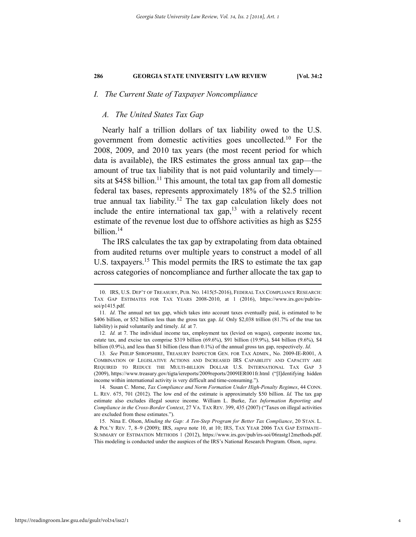# *I. The Current State of Taxpayer Noncompliance*

#### *A. The United States Tax Gap*

Nearly half a trillion dollars of tax liability owed to the U.S. government from domestic activities goes uncollected.<sup>10</sup> For the 2008, 2009, and 2010 tax years (the most recent period for which data is available), the IRS estimates the gross annual tax gap—the amount of true tax liability that is not paid voluntarily and timely sits at \$458 billion.<sup>11</sup> This amount, the total tax gap from all domestic federal tax bases, represents approximately 18% of the \$2.5 trillion true annual tax liability.<sup>12</sup> The tax gap calculation likely does not include the entire international tax gap, $13$  with a relatively recent estimate of the revenue lost due to offshore activities as high as \$255 billion.<sup>14</sup>

The IRS calculates the tax gap by extrapolating from data obtained from audited returns over multiple years to construct a model of all U.S. taxpayers.<sup>15</sup> This model permits the IRS to estimate the tax gap across categories of noncompliance and further allocate the tax gap to

 14. Susan C. Morse, *Tax Compliance and Norm Formation Under High-Penalty Regimes*, 44 CONN. L. REV. 675, 701 (2012). The low end of the estimate is approximately \$50 billion. *Id.* The tax gap estimate also excludes illegal source income. William L. Burke, *Tax Information Reporting and Compliance in the Cross-Border Context*, 27 VA. TAX REV. 399, 435 (2007) ("Taxes on illegal activities are excluded from these estimates.").

 15. Nina E. Olson, *Minding the Gap: A Ten-Step Program for Better Tax Compliance*, 20 STAN. L. & POL'Y REV. 7, 8–9 (2009); IRS, *supra* note 10, at 10; IRS, TAX YEAR 2006 TAX GAP ESTIMATE– SUMMARY OF ESTIMATION METHODS 1 (2012), https://www.irs.gov/pub/irs-soi/06rastg12methods.pdf. This modeling is conducted under the auspices of the IRS's National Research Program. Olson, *supra*.

 <sup>10.</sup> IRS, U.S. DEP'T OF TREASURY, PUB. NO. 1415(5-2016), FEDERAL TAX COMPLIANCE RESEARCH: TAX GAP ESTIMATES FOR TAX YEARS 2008-2010, at 1 (2016), https://www.irs.gov/pub/irssoi/p1415.pdf.

<sup>11</sup>*. Id*. The annual net tax gap, which takes into account taxes eventually paid, is estimated to be \$406 billion, or \$52 billion less than the gross tax gap. *Id.* Only \$2,038 trillion (81.7% of the true tax liability) is paid voluntarily and timely. *Id.* at 7.

<sup>12</sup>*. Id.* at 7. The individual income tax, employment tax (levied on wages), corporate income tax, estate tax, and excise tax comprise \$319 billion (69.6%), \$91 billion (19.9%), \$44 billion (9.6%), \$4 billion (0.9%), and less than \$1 billion (less than 0.1%) of the annual gross tax gap, respectively. *Id*.

<sup>13</sup>*. See* PHILIP SHROPSHIRE, TREASURY INSPECTOR GEN. FOR TAX ADMIN., No. 2009-IE-R001, A COMBINATION OF LEGISLATIVE ACTIONS AND INCREASED IRS CAPABILITY AND CAPACITY ARE REQUIRED TO REDUCE THE MULTI-BILLION DOLLAR U.S. INTERNATIONAL TAX GAP 3 (2009), https://www.treasury.gov/tigta/iereports/2009reports/2009IER001fr.html ("[I]dentifying hidden income within international activity is very difficult and time-consuming.").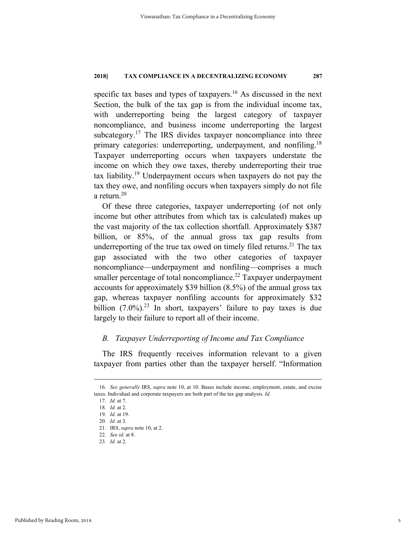specific tax bases and types of taxpayers.<sup>16</sup> As discussed in the next Section, the bulk of the tax gap is from the individual income tax, with underreporting being the largest category of taxpayer noncompliance, and business income underreporting the largest subcategory.<sup>17</sup> The IRS divides taxpayer noncompliance into three primary categories: underreporting, underpayment, and nonfiling.<sup>18</sup> Taxpayer underreporting occurs when taxpayers understate the income on which they owe taxes, thereby underreporting their true tax liability.19 Underpayment occurs when taxpayers do not pay the tax they owe, and nonfiling occurs when taxpayers simply do not file a return.20

Of these three categories, taxpayer underreporting (of not only income but other attributes from which tax is calculated) makes up the vast majority of the tax collection shortfall. Approximately \$387 billion, or 85%, of the annual gross tax gap results from underreporting of the true tax owed on timely filed returns.<sup>21</sup> The tax gap associated with the two other categories of taxpayer noncompliance—underpayment and nonfiling—comprises a much smaller percentage of total noncompliance.<sup>22</sup> Taxpayer underpayment accounts for approximately \$39 billion (8.5%) of the annual gross tax gap, whereas taxpayer nonfiling accounts for approximately \$32 billion  $(7.0\%)$ .<sup>23</sup> In short, taxpayers' failure to pay taxes is due largely to their failure to report all of their income.

# *B. Taxpayer Underreporting of Income and Tax Compliance*

The IRS frequently receives information relevant to a given taxpayer from parties other than the taxpayer herself. "Information

 <sup>16</sup>*. See generally* IRS, *supra* note 10, at 10. Bases include income, employment, estate, and excise taxes. Individual and corporate taxpayers are both part of the tax gap analysis. *Id.*

<sup>17</sup>*. Id.* at 7.

<sup>18</sup>*. Id.* at 2.

<sup>19</sup>*. Id.* at 19.

<sup>20</sup>*. Id.* at 3.

 <sup>21.</sup> IRS, *supra* note 10, at 2.

<sup>22</sup>*. See id.* at 8.

<sup>23</sup>*. Id.* at 2.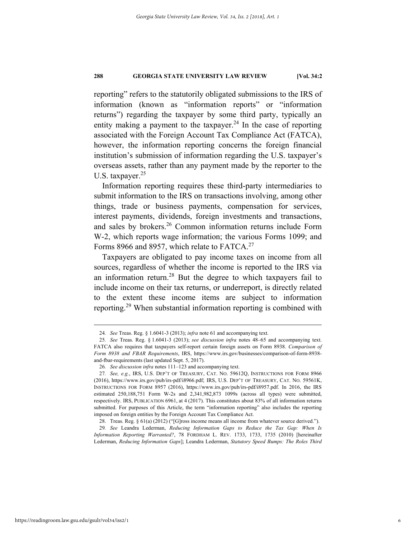reporting" refers to the statutorily obligated submissions to the IRS of information (known as "information reports" or "information returns") regarding the taxpayer by some third party, typically an entity making a payment to the taxpayer.<sup>24</sup> In the case of reporting associated with the Foreign Account Tax Compliance Act (FATCA), however, the information reporting concerns the foreign financial institution's submission of information regarding the U.S. taxpayer's overseas assets, rather than any payment made by the reporter to the U.S. taxpayer.<sup>25</sup>

Information reporting requires these third-party intermediaries to submit information to the IRS on transactions involving, among other things, trade or business payments, compensation for services, interest payments, dividends, foreign investments and transactions, and sales by brokers.<sup>26</sup> Common information returns include Form W-2, which reports wage information; the various Forms 1099; and Forms 8966 and 8957, which relate to FATCA.<sup>27</sup>

Taxpayers are obligated to pay income taxes on income from all sources, regardless of whether the income is reported to the IRS via an information return.<sup>28</sup> But the degree to which taxpayers fail to include income on their tax returns, or underreport, is directly related to the extent these income items are subject to information reporting.29 When substantial information reporting is combined with

 <sup>24</sup>*. See* Treas. Reg. § 1.6041-3 (2013); *infra* note 61 and accompanying text.

<sup>25</sup>*. See* Treas. Reg. § 1.6041-3 (2013); *see discussion infra* notes 48–65 and accompanying text. FATCA also requires that taxpayers self-report certain foreign assets on Form 8938. *Comparison of Form 8938 and FBAR Requirements*, IRS, https://www.irs.gov/businesses/comparison-of-form-8938 and-fbar-requirements (last updated Sept. 5, 2017).

<sup>26</sup>*. See discussion infra* notes 111–123 and accompanying text.

<sup>27</sup>*. See, e.g.*, IRS, U.S. DEP'T OF TREASURY, CAT. NO. 59612Q, INSTRUCTIONS FOR FORM 8966 (2016), https://www.irs.gov/pub/irs-pdf/i8966.pdf; IRS, U.S. DEP'T OF TREASURY, CAT. NO. 59561K, INSTRUCTIONS FOR FORM 8957 (2016), https://www.irs.gov/pub/irs-pdf/i8957.pdf. In 2016, the IRS estimated 250,188,751 Form W-2s and 2,341,982,873 1099s (across all types) were submitted, respectively. IRS, PUBLICATION 6961, at 4 (2017). This constitutes about 83% of all information returns submitted. For purposes of this Article, the term "information reporting" also includes the reporting imposed on foreign entities by the Foreign Account Tax Compliance Act.

 <sup>28.</sup> Treas. Reg. § 61(a) (2012) ("[G]ross income means all income from whatever source derived.").

<sup>29</sup>*. See* Leandra Lederman, *Reducing Information Gaps to Reduce the Tax Gap: When Is Information Reporting Warranted?*, 78 FORDHAM L. REV. 1733, 1733, 1735 (2010) [hereinafter Lederman, *Reducing Information Gaps*]; Leandra Lederman, *Statutory Speed Bumps: The Roles Third*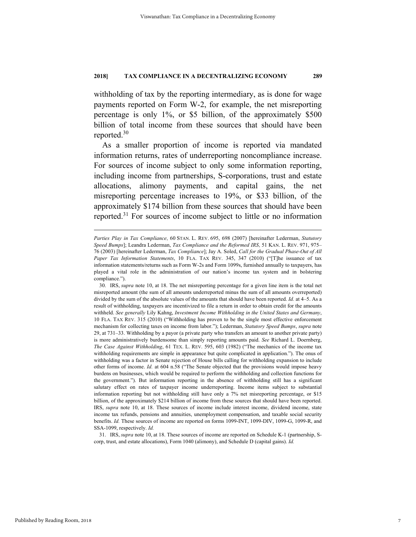withholding of tax by the reporting intermediary, as is done for wage payments reported on Form W-2, for example, the net misreporting percentage is only 1%, or \$5 billion, of the approximately \$500 billion of total income from these sources that should have been reported.30

As a smaller proportion of income is reported via mandated information returns, rates of underreporting noncompliance increase. For sources of income subject to only some information reporting, including income from partnerships, S-corporations, trust and estate allocations, alimony payments, and capital gains, the net misreporting percentage increases to 19%, or \$33 billion, of the approximately \$174 billion from these sources that should have been reported.31 For sources of income subject to little or no information

 31. IRS, *supra* note 10, at 18. These sources of income are reported on Schedule K-1 (partnership, Scorp, trust, and estate allocations), Form 1040 (alimony), and Schedule D (capital gains). *Id.* 

1

*Parties Play in Tax Compliance*, 60 STAN. L. REV. 695, 698 (2007) [hereinafter Lederman, *Statutory Speed Bumps*]; Leandra Lederman, *Tax Compliance and the Reformed IRS*, 51 KAN. L. REV. 971, 975– 76 (2003) [hereinafter Lederman, *Tax Compliance*]; Jay A. Soled, *Call for the Gradual Phase-Out of All Paper Tax Information Statements*, 10 FLA. TAX REV. 345, 347 (2010) ("[T]he issuance of tax information statements/returns such as Form W-2s and Form 1099s, furnished annually to taxpayers, has played a vital role in the administration of our nation's income tax system and in bolstering compliance.").

 <sup>30.</sup> IRS, *supra* note 10, at 18. The net misreporting percentage for a given line item is the total net misreported amount (the sum of all amounts underreported minus the sum of all amounts overreported) divided by the sum of the absolute values of the amounts that should have been reported. *Id.* at 4–5. As a result of withholding, taxpayers are incentivized to file a return in order to obtain credit for the amounts withheld. *See generally* Lily Kahng, *Investment Income Withholding in the United States and Germany*, 10 FLA. TAX REV. 315 (2010) ("Withholding has proven to be the single most effective enforcement mechanism for collecting taxes on income from labor."); Lederman, *Statutory Speed Bumps*, *supra* note 29, at 731–33. Withholding by a payor (a private party who transfers an amount to another private party) is more administratively burdensome than simply reporting amounts paid. *See* Richard L. Doernberg, *The Case Against Withholding*, 61 TEX. L. REV. 595, 603 (1982) ("The mechanics of the income tax withholding requirements are simple in appearance but quite complicated in application."). The onus of withholding was a factor in Senate rejection of House bills calling for withholding expansion to include other forms of income. *Id.* at 604 n.58 ("The Senate objected that the provisions would impose heavy burdens on businesses, which would be required to perform the withholding and collection functions for the government."). But information reporting in the absence of withholding still has a significant salutary effect on rates of taxpayer income underreporting. Income items subject to substantial information reporting but not withholding still have only a 7% net misreporting percentage, or \$15 billion, of the approximately \$214 billion of income from these sources that should have been reported. IRS, *supra* note 10, at 18. These sources of income include interest income, dividend income, state income tax refunds, pensions and annuities, unemployment compensation, and taxable social security benefits. *Id.* These sources of income are reported on forms 1099-INT, 1099-DIV, 1099-G, 1099-R, and SSA-1099, respectively. *Id.*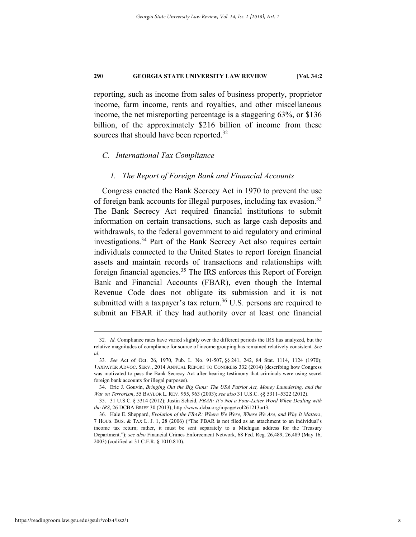reporting, such as income from sales of business property, proprietor income, farm income, rents and royalties, and other miscellaneous income, the net misreporting percentage is a staggering 63%, or \$136 billion, of the approximately \$216 billion of income from these sources that should have been reported.<sup>32</sup>

#### *C. International Tax Compliance*

## *1. The Report of Foreign Bank and Financial Accounts*

Congress enacted the Bank Secrecy Act in 1970 to prevent the use of foreign bank accounts for illegal purposes, including tax evasion.<sup>33</sup> The Bank Secrecy Act required financial institutions to submit information on certain transactions, such as large cash deposits and withdrawals, to the federal government to aid regulatory and criminal investigations.34 Part of the Bank Secrecy Act also requires certain individuals connected to the United States to report foreign financial assets and maintain records of transactions and relationships with foreign financial agencies.<sup>35</sup> The IRS enforces this Report of Foreign Bank and Financial Accounts (FBAR), even though the Internal Revenue Code does not obligate its submission and it is not submitted with a taxpayer's tax return.<sup>36</sup> U.S. persons are required to submit an FBAR if they had authority over at least one financial

 <sup>32</sup>*. Id.* Compliance rates have varied slightly over the different periods the IRS has analyzed, but the relative magnitudes of compliance for source of income grouping has remained relatively consistent. *See id.*

<sup>33</sup>*. See* Act of Oct. 26, 1970, Pub. L. No. 91-507, §§ 241, 242, 84 Stat. 1114, 1124 (1970); TAXPAYER ADVOC. SERV., 2014 ANNUAL REPORT TO CONGRESS 332 (2014) (describing how Congress was motivated to pass the Bank Secrecy Act after hearing testimony that criminals were using secret foreign bank accounts for illegal purposes).

 <sup>34.</sup> Eric J. Gouvin, *Bringing Out the Big Guns: The USA Patriot Act, Money Laundering, and the War on Terrorism*, 55 BAYLOR L. REV. 955, 963 (2003); *see also* 31 U.S.C. §§ 5311–5322 (2012).

 <sup>35. 31</sup> U.S.C. § 5314 (2012); Justin Scheid, *FBAR: It's Not a Four-Letter Word When Dealing with the IRS*, 26 DCBA BRIEF 30 (2013), http://www.dcba.org/mpage/vol261213art3.

 <sup>36.</sup> Hale E. Sheppard, *Evolution of the FBAR: Where We Were, Where We Are, and Why It Matters*, 7 HOUS. BUS. & TAX L. J. 1, 28 (2006) ("The FBAR is not filed as an attachment to an individual's income tax return; rather, it must be sent separately to a Michigan address for the Treasury Department."); *see also* Financial Crimes Enforcement Network, 68 Fed. Reg. 26,489, 26,489 (May 16, 2003) (codified at 31 C.F.R. § 1010.810).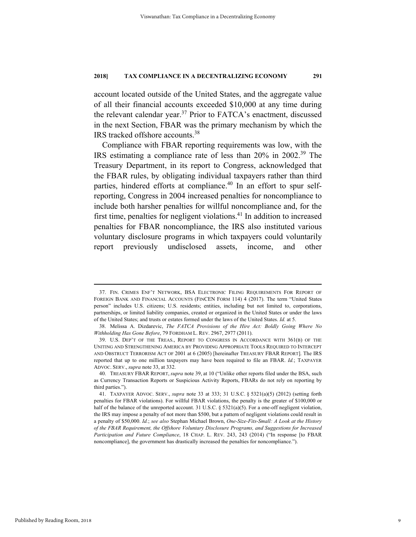account located outside of the United States, and the aggregate value of all their financial accounts exceeded \$10,000 at any time during the relevant calendar year.<sup>37</sup> Prior to FATCA's enactment, discussed in the next Section, FBAR was the primary mechanism by which the IRS tracked offshore accounts.38

Compliance with FBAR reporting requirements was low, with the IRS estimating a compliance rate of less than 20% in 2002.39 The Treasury Department, in its report to Congress, acknowledged that the FBAR rules, by obligating individual taxpayers rather than third parties, hindered efforts at compliance.<sup>40</sup> In an effort to spur selfreporting, Congress in 2004 increased penalties for noncompliance to include both harsher penalties for willful noncompliance and, for the first time, penalties for negligent violations.<sup>41</sup> In addition to increased penalties for FBAR noncompliance, the IRS also instituted various voluntary disclosure programs in which taxpayers could voluntarily report previously undisclosed assets, income, and other

 <sup>37.</sup> FIN. CRIMES ENF'T NETWORK, BSA ELECTRONIC FILING REQUIREMENTS FOR REPORT OF FOREIGN BANK AND FINANCIAL ACCOUNTS (FINCEN FORM 114) 4 (2017). The term "United States person" includes U.S. citizens; U.S. residents; entities, including but not limited to, corporations, partnerships, or limited liability companies, created or organized in the United States or under the laws of the United States; and trusts or estates formed under the laws of the United States. *Id.* at 5.

 <sup>38.</sup> Melissa A. Dizdarevic, *The FATCA Provisions of the Hire Act: Boldly Going Where No Withholding Has Gone Before*, 79 FORDHAM L. REV. 2967, 2977 (2011).

 <sup>39.</sup> U.S. DEP'T OF THE TREAS., REPORT TO CONGRESS IN ACCORDANCE WITH 361(B) OF THE UNITING AND STRENGTHENING AMERICA BY PROVIDING APPROPRIATE TOOLS REQUIRED TO INTERCEPT AND OBSTRUCT TERRORISM ACT OF 2001 at 6 (2005) [hereinafter TREASURY FBAR REPORT]. The IRS reported that up to one million taxpayers may have been required to file an FBAR. *Id.*; TAXPAYER ADVOC. SERV., *supra* note 33, at 332.

 <sup>40.</sup> TREASURY FBAR REPORT, *supra* note 39, at 10 ("Unlike other reports filed under the BSA, such as Currency Transaction Reports or Suspicious Activity Reports, FBARs do not rely on reporting by third parties.").

 <sup>41.</sup> TAXPAYER ADVOC. SERV., *supra* note 33 at 333; 31 U.S.C. § 5321(a)(5) (2012) (setting forth penalties for FBAR violations). For willful FBAR violations, the penalty is the greater of \$100,000 or half of the balance of the unreported account. 31 U.S.C.  $\S$  5321(a)(5). For a one-off negligent violation, the IRS may impose a penalty of not more than \$500, but a pattern of negligent violations could result in a penalty of \$50,000. *Id.*; *see also* Stephan Michael Brown, *One-Size-Fits-Small: A Look at the History of the FBAR Requirement, the Offshore Voluntary Disclosure Programs, and Suggestions for Increased Participation and Future Compliance*, 18 CHAP. L. REV. 243, 243 (2014) ("In response [to FBAR noncompliance], the government has drastically increased the penalties for noncompliance.").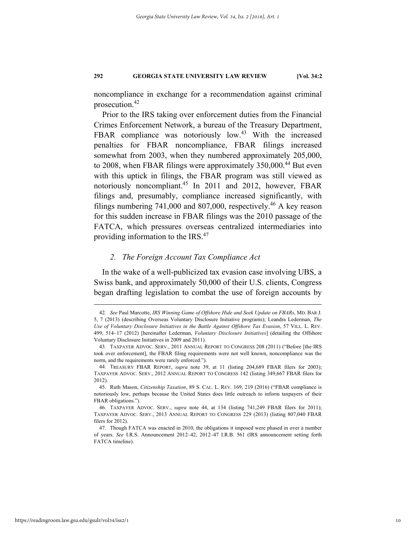noncompliance in exchange for a recommendation against criminal prosecution.42

Prior to the IRS taking over enforcement duties from the Financial Crimes Enforcement Network, a bureau of the Treasury Department, FBAR compliance was notoriously low.<sup>43</sup> With the increased penalties for FBAR noncompliance, FBAR filings increased somewhat from 2003, when they numbered approximately 205,000, to 2008, when FBAR filings were approximately 350,000.<sup>44</sup> But even with this uptick in filings, the FBAR program was still viewed as notoriously noncompliant.<sup>45</sup> In 2011 and 2012, however, FBAR filings and, presumably, compliance increased significantly, with filings numbering 741,000 and 807,000, respectively.<sup>46</sup> A key reason for this sudden increase in FBAR filings was the 2010 passage of the FATCA, which pressures overseas centralized intermediaries into providing information to the IRS.<sup>47</sup>

# *2. The Foreign Account Tax Compliance Act*

In the wake of a well-publicized tax evasion case involving UBS, a Swiss bank, and approximately 50,000 of their U.S. clients, Congress began drafting legislation to combat the use of foreign accounts by

 <sup>42</sup>*. See* Paul Marcotte, *IRS Winning Game of Offshore Hide and Seek Update on FBARs*, MD. BAR J. 5, 7 (2013) (describing Overseas Voluntary Disclosure Initiative programs); Leandra Lederman, *The Use of Voluntary Disclosure Initiatives in the Battle Against Offshore Tax Evasion*, 57 VILL. L. REV. 499, 514–17 (2012) [hereinafter Lederman, *Voluntary Disclosure Initiatives*] (detailing the Offshore Voluntary Disclosure Initiatives in 2009 and 2011).

 <sup>43.</sup> TAXPAYER ADVOC. SERV., 2011 ANNUAL REPORT TO CONGRESS 208 (2011) ("Before [the IRS took over enforcement], the FBAR filing requirements were not well known, noncompliance was the norm, and the requirements were rarely enforced.").

 <sup>44.</sup> TREASURY FBAR REPORT, *supra* note 39, at 11 (listing 204,689 FBAR filers for 2003); TAXPAYER ADVOC. SERV., 2012 ANNUAL REPORT TO CONGRESS 142 (listing 349,667 FBAR filers for 2012).

 <sup>45.</sup> Ruth Mason, *Citizenship Taxation*, 89 S. CAL. L. REV. 169, 219 (2016) ("FBAR compliance is notoriously low, perhaps because the United States does little outreach to inform taxpayers of their FBAR obligations.").

 <sup>46.</sup> TAXPAYER ADVOC. SERV., *supra* note 44, at 134 (listing 741,249 FBAR filers for 2011); TAXPAYER ADVOC. SERV., 2013 ANNUAL REPORT TO CONGRESS 229 (2013) (listing 807,040 FBAR filers for 2012).

 <sup>47.</sup> Though FATCA was enacted in 2010, the obligations it imposed were phased in over a number of years. *See* I.R.S. Announcement 2012–42, 2012–47 I.R.B. 561 (IRS announcement setting forth FATCA timeline).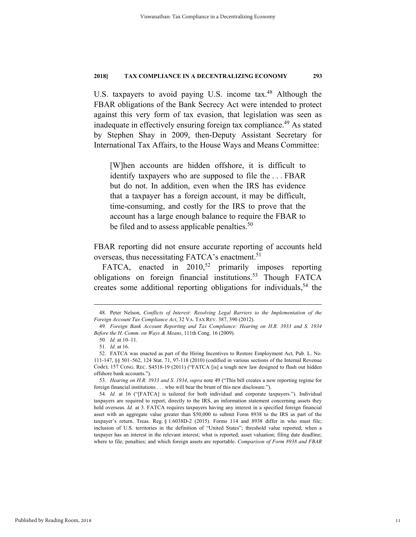U.S. taxpayers to avoid paying U.S. income tax.<sup>48</sup> Although the FBAR obligations of the Bank Secrecy Act were intended to protect against this very form of tax evasion, that legislation was seen as inadequate in effectively ensuring foreign tax compliance.<sup>49</sup> As stated by Stephen Shay in 2009, then-Deputy Assistant Secretary for International Tax Affairs, to the House Ways and Means Committee:

[W]hen accounts are hidden offshore, it is difficult to identify taxpayers who are supposed to file the . . . FBAR but do not. In addition, even when the IRS has evidence that a taxpayer has a foreign account, it may be difficult, time-consuming, and costly for the IRS to prove that the account has a large enough balance to require the FBAR to be filed and to assess applicable penalties.<sup>50</sup>

FBAR reporting did not ensure accurate reporting of accounts held overseas, thus necessitating FATCA's enactment.<sup>51</sup>

FATCA, enacted in  $2010$ <sup>52</sup> primarily imposes reporting obligations on foreign financial institutions.<sup>53</sup> Though FATCA creates some additional reporting obligations for individuals,  $54$  the

 <sup>48.</sup> Peter Nelson, *Conflicts of Interest: Resolving Legal Barriers to the Implementation of the Foreign Account Tax Compliance Act*, 32 VA. TAX REV. 387, 390 (2012).

<sup>49</sup>*. Foreign Bank Account Reporting and Tax Compliance: Hearing on H.R. 3933 and S. 1934 Before the H. Comm. on Ways & Means*, 111th Cong. 16 (2009).

<sup>50</sup>*. Id.* at 10–11.

<sup>51</sup>*. Id.* at 16.

 <sup>52.</sup> FATCA was enacted as part of the Hiring Incentives to Restore Employment Act, Pub. L. No. 111-147, §§ 501–562, 124 Stat. 71, 97-118 (2010) (codified in various sections of the Internal Revenue Code); 157 CONG. REC. S4518-19 (2011) ("FATCA [is] a tough new law designed to flush out hidden offshore bank accounts.").

<sup>53</sup>*. Hearing on H.R. 3933 and S. 1934*, *supra* note 49 ("This bill creates a new reporting regime for foreign financial institutions . . . who will bear the brunt of this new disclosure.").

<sup>54</sup>*. Id.* at 16 ("[FATCA] is tailored for both individual and corporate taxpayers."). Individual taxpayers are required to report, directly to the IRS, an information statement concerning assets they hold overseas. *Id.* at 3. FATCA requires taxpayers having any interest in a specified foreign financial asset with an aggregate value greater than \$50,000 to submit Form 8938 to the IRS as part of the taxpayer's return. Treas. Reg. § 1.6038D-2 (2015). Forms 114 and 8938 differ in who must file; inclusion of U.S. territories in the definition of "United States"; threshold value reported; when a taxpayer has an interest in the relevant interest; what is reported; asset valuation; filing date deadline; where to file; penalties; and which foreign assets are reportable. *Comparison of Form 8938 and FBAR*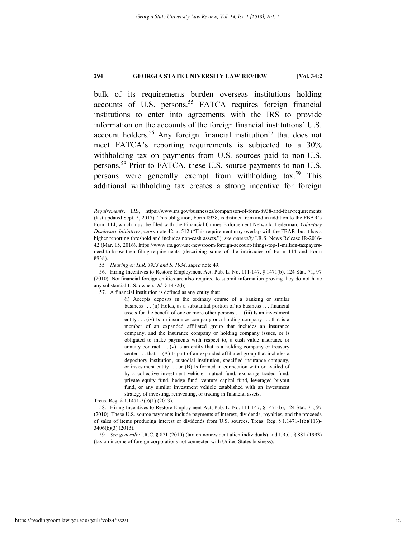bulk of its requirements burden overseas institutions holding accounts of U.S. persons.<sup>55</sup> FATCA requires foreign financial institutions to enter into agreements with the IRS to provide information on the accounts of the foreign financial institutions' U.S. account holders.<sup>56</sup> Any foreign financial institution<sup>57</sup> that does not meet FATCA's reporting requirements is subjected to a 30% withholding tax on payments from U.S. sources paid to non-U.S. persons.58 Prior to FATCA, these U.S. source payments to non-U.S. persons were generally exempt from withholding tax.<sup>59</sup> This additional withholding tax creates a strong incentive for foreign

1

(i) Accepts deposits in the ordinary course of a banking or similar business . . . (ii) Holds, as a substantial portion of its business . . . financial assets for the benefit of one or more other persons . . . (iii) Is an investment entity . . . (iv) Is an insurance company or a holding company . . . that is a member of an expanded affiliated group that includes an insurance company, and the insurance company or holding company issues, or is obligated to make payments with respect to, a cash value insurance or annuity contract  $\dots$  (v) Is an entity that is a holding company or treasury center  $\dots$  that  $-(A)$  Is part of an expanded affiliated group that includes a depository institution, custodial institution, specified insurance company, or investment entity . . . or (B) Is formed in connection with or availed of by a collective investment vehicle, mutual fund, exchange traded fund, private equity fund, hedge fund, venture capital fund, leveraged buyout fund, or any similar investment vehicle established with an investment strategy of investing, reinvesting, or trading in financial assets.

Treas. Reg. § 1.1471-5(e)(1) (2013).

*Requirements*, IRS, https://www.irs.gov/businesses/comparison-of-form-8938-and-fbar-requirements (last updated Sept. 5, 2017). This obligation, Form 8938, is distinct from and in addition to the FBAR's Form 114, which must be filed with the Financial Crimes Enforcement Network. Lederman, *Voluntary Disclosure Initiatives*, *supra* note 42, at 512 ("This requirement may overlap with the FBAR, but it has a higher reporting threshold and includes non-cash assets."); *see generally* I.R.S. News Release IR-2016- 42 (Mar. 15, 2016), https://www.irs.gov/uac/newsroom/foreign-account-filings-top-1-million-taxpayersneed-to-know-their-filing-requirements (describing some of the intricacies of Form 114 and Form 8938).

<sup>55</sup>*. Hearing on H.R. 3933 and S. 1934*, *supra* note 49.

 <sup>56.</sup> Hiring Incentives to Restore Employment Act, Pub. L. No. 111-147, § 1471(b), 124 Stat. 71, 97 (2010). Nonfinancial foreign entities are also required to submit information proving they do not have any substantial U.S. owners. *Id.* § 1472(b).

 <sup>57.</sup> A financial institution is defined as any entity that:

 <sup>58.</sup> Hiring Incentives to Restore Employment Act, Pub. L. No. 111-147, § 1471(b), 124 Stat. 71, 97 (2010). These U.S. source payments include payments of interest, dividends, royalties, and the proceeds of sales of items producing interest or dividends from U.S. sources. Treas. Reg. § 1.1471-1(b)(113)- 3406(b)(3) (2013).

<sup>59</sup>*. See generally* I.R.C. § 871 (2010) (tax on nonresident alien individuals) and I.R.C. § 881 (1993) (tax on income of foreign corporations not connected with United States business).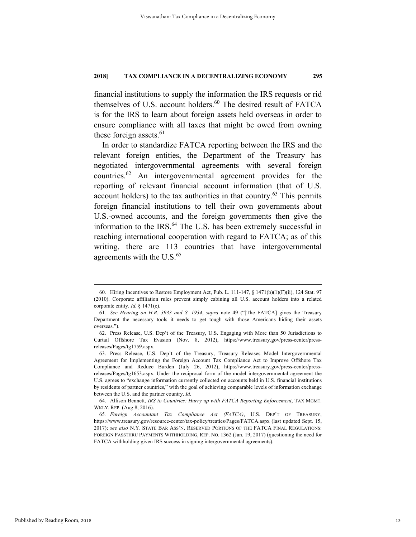financial institutions to supply the information the IRS requests or rid themselves of U.S. account holders.<sup>60</sup> The desired result of FATCA is for the IRS to learn about foreign assets held overseas in order to ensure compliance with all taxes that might be owed from owning these foreign assets. $61$ 

In order to standardize FATCA reporting between the IRS and the relevant foreign entities, the Department of the Treasury has negotiated intergovernmental agreements with several foreign countries.62 An intergovernmental agreement provides for the reporting of relevant financial account information (that of U.S. account holders) to the tax authorities in that country. $63$  This permits foreign financial institutions to tell their own governments about U.S.-owned accounts, and the foreign governments then give the information to the IRS.<sup>64</sup> The U.S. has been extremely successful in reaching international cooperation with regard to FATCA; as of this writing, there are 113 countries that have intergovernmental agreements with the  $U.S.<sup>65</sup>$ 

 <sup>60.</sup> Hiring Incentives to Restore Employment Act, Pub. L. 111-147, § 1471(b)(1)(F)(ii), 124 Stat. 97 (2010). Corporate affiliation rules prevent simply cabining all U.S. account holders into a related corporate entity. *Id.* § 1471(e).

<sup>61</sup>*. See Hearing on H.R. 3933 and S. 1934*, *supra* note 49 ("[The FATCA] gives the Treasury Department the necessary tools it needs to get tough with those Americans hiding their assets overseas.").

 <sup>62.</sup> Press Release, U.S. Dep't of the Treasury, U.S. Engaging with More than 50 Jurisdictions to Curtail Offshore Tax Evasion (Nov. 8, 2012), https://www.treasury.gov/press-center/pressreleases/Pages/tg1759.aspx.

 <sup>63.</sup> Press Release, U.S. Dep't of the Treasury, Treasury Releases Model Intergovernmental Agreement for Implementing the Foreign Account Tax Compliance Act to Improve Offshore Tax Compliance and Reduce Burden (July 26, 2012), https://www.treasury.gov/press-center/pressreleases/Pages/tg1653.aspx. Under the reciprocal form of the model intergovernmental agreement the U.S. agrees to "exchange information currently collected on accounts held in U.S. financial institutions by residents of partner countries," with the goal of achieving comparable levels of information exchange between the U.S. and the partner country. *Id.*

 <sup>64.</sup> Allison Bennett, *IRS to Countries: Hurry up with FATCA Reporting Enforcement*, TAX MGMT. WKLY. REP. (Aug 8, 2016).

<sup>65</sup>*. Foreign Accountant Tax Compliance Act (FATCA)*, U.S. DEP'T OF TREASURY, https://www.treasury.gov/resource-center/tax-policy/treaties/Pages/FATCA.aspx (last updated Sept. 15, 2017); *see also* N.Y. STATE BAR ASS'N, RESERVED PORTIONS OF THE FATCA FINAL REGULATIONS: FOREIGN PASSTHRU PAYMENTS WITHHOLDING, REP. NO. 1362 (Jan. 19, 2017) (questioning the need for FATCA withholding given IRS success in signing intergovernmental agreements).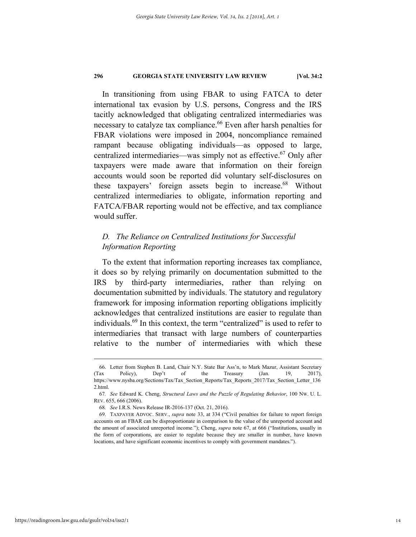In transitioning from using FBAR to using FATCA to deter international tax evasion by U.S. persons, Congress and the IRS tacitly acknowledged that obligating centralized intermediaries was necessary to catalyze tax compliance.<sup>66</sup> Even after harsh penalties for FBAR violations were imposed in 2004, noncompliance remained rampant because obligating individuals—as opposed to large, centralized intermediaries—was simply not as effective.<sup>67</sup> Only after taxpayers were made aware that information on their foreign accounts would soon be reported did voluntary self-disclosures on these taxpayers' foreign assets begin to increase.<sup>68</sup> Without centralized intermediaries to obligate, information reporting and FATCA/FBAR reporting would not be effective, and tax compliance would suffer.

# *D. The Reliance on Centralized Institutions for Successful Information Reporting*

To the extent that information reporting increases tax compliance, it does so by relying primarily on documentation submitted to the IRS by third-party intermediaries, rather than relying on documentation submitted by individuals. The statutory and regulatory framework for imposing information reporting obligations implicitly acknowledges that centralized institutions are easier to regulate than individuals.<sup>69</sup> In this context, the term "centralized" is used to refer to intermediaries that transact with large numbers of counterparties relative to the number of intermediaries with which these

 <sup>66.</sup> Letter from Stephen B. Land, Chair N.Y. State Bar Ass'n, to Mark Mazur, Assistant Secretary (Tax Policy), Dep't of the Treasury (Jan. 19, 2017), https://www.nysba.org/Sections/Tax/Tax\_Section\_Reports/Tax\_Reports\_2017/Tax\_Section\_Letter\_136 2.html.

<sup>67</sup>*. See* Edward K. Cheng, *Structural Laws and the Puzzle of Regulating Behavior*, 100 NW. U. L. REV. 655, 666 (2006).

<sup>68</sup>*. See* I.R.S. News Release IR-2016-137 (Oct. 21, 2016).

 <sup>69.</sup> TAXPAYER ADVOC. SERV., *supra* note 33, at 334 ("Civil penalties for failure to report foreign accounts on an FBAR can be disproportionate in comparison to the value of the unreported account and the amount of associated unreported income."); Cheng, *supra* note 67, at 666 ("Institutions, usually in the form of corporations, are easier to regulate because they are smaller in number, have known locations, and have significant economic incentives to comply with government mandates.").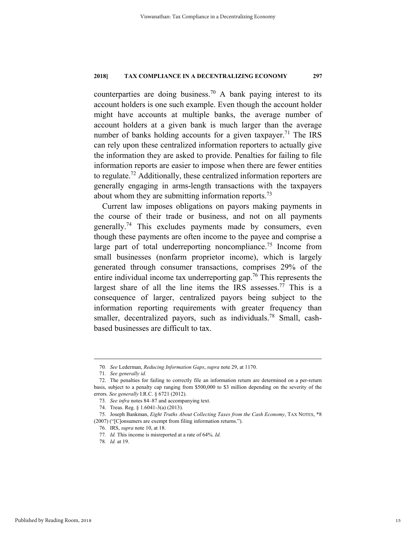counterparties are doing business.<sup>70</sup> A bank paying interest to its account holders is one such example. Even though the account holder might have accounts at multiple banks, the average number of account holders at a given bank is much larger than the average number of banks holding accounts for a given taxpayer.<sup>71</sup> The IRS can rely upon these centralized information reporters to actually give the information they are asked to provide. Penalties for failing to file information reports are easier to impose when there are fewer entities to regulate.<sup>72</sup> Additionally, these centralized information reporters are generally engaging in arms-length transactions with the taxpayers about whom they are submitting information reports.<sup>73</sup>

Current law imposes obligations on payors making payments in the course of their trade or business, and not on all payments generally.<sup>74</sup> This excludes payments made by consumers, even though these payments are often income to the payee and comprise a large part of total underreporting noncompliance.<sup>75</sup> Income from small businesses (nonfarm proprietor income), which is largely generated through consumer transactions, comprises 29% of the entire individual income tax underreporting gap.<sup>76</sup> This represents the largest share of all the line items the IRS assesses.<sup>77</sup> This is a consequence of larger, centralized payors being subject to the information reporting requirements with greater frequency than smaller, decentralized payors, such as individuals.<sup>78</sup> Small, cashbased businesses are difficult to tax.

 <sup>70</sup>*. See* Lederman, *Reducing Information Gaps*, *supra* note 29, at 1170.

<sup>71</sup>*. See generally id.*

 <sup>72.</sup> The penalties for failing to correctly file an information return are determined on a per-return basis, subject to a penalty cap ranging from \$500,000 to \$3 million depending on the severity of the errors. *See generally* I.R.C. § 6721 (2012).

<sup>73</sup>*. See infra* notes 84–87 and accompanying text.

 <sup>74.</sup> Treas. Reg. § 1.6041-3(a) (2013).

 <sup>75.</sup> Joseph Bankman, *Eight Truths About Collecting Taxes from the Cash Economy*, TAX NOTES, \*8 (2007) ("[C]onsumers are exempt from filing information returns.").

 <sup>76.</sup> IRS, *supra* note 10, at 18.

<sup>77</sup>*. Id.* This income is misreported at a rate of 64%. *Id.*

<sup>78</sup>*. Id.* at 19.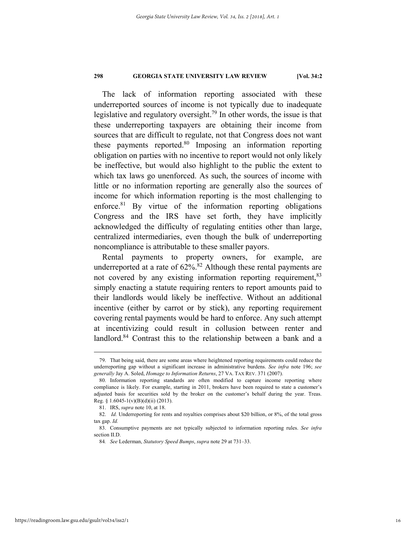The lack of information reporting associated with these underreported sources of income is not typically due to inadequate legislative and regulatory oversight.<sup>79</sup> In other words, the issue is that these underreporting taxpayers are obtaining their income from sources that are difficult to regulate, not that Congress does not want these payments reported.<sup>80</sup> Imposing an information reporting obligation on parties with no incentive to report would not only likely be ineffective, but would also highlight to the public the extent to which tax laws go unenforced. As such, the sources of income with little or no information reporting are generally also the sources of income for which information reporting is the most challenging to enforce. $81$  By virtue of the information reporting obligations Congress and the IRS have set forth, they have implicitly acknowledged the difficulty of regulating entities other than large, centralized intermediaries, even though the bulk of underreporting noncompliance is attributable to these smaller payors.

Rental payments to property owners, for example, are underreported at a rate of  $62\%$ .<sup>82</sup> Although these rental payments are not covered by any existing information reporting requirement,<sup>83</sup> simply enacting a statute requiring renters to report amounts paid to their landlords would likely be ineffective. Without an additional incentive (either by carrot or by stick), any reporting requirement covering rental payments would be hard to enforce. Any such attempt at incentivizing could result in collusion between renter and landlord.<sup>84</sup> Contrast this to the relationship between a bank and a

 <sup>79.</sup> That being said, there are some areas where heightened reporting requirements could reduce the underreporting gap without a significant increase in administrative burdens. *See infra* note 196; *see generally* Jay A. Soled, *Homage to Information Returns*, 27 VA. TAX REV. 371 (2007).

 <sup>80.</sup> Information reporting standards are often modified to capture income reporting where compliance is likely. For example, starting in 2011, brokers have been required to state a customer's adjusted basis for securities sold by the broker on the customer's behalf during the year. Treas. Reg. §  $1.6045-1(v)(B)(d)(ii)$  (2013).

 <sup>81.</sup> IRS, *supra* note 10, at 18.

 <sup>82.</sup> *Id.* Underreporting for rents and royalties comprises about \$20 billion, or 8%, of the total gross tax gap. *Id.*

 <sup>83.</sup> Consumptive payments are not typically subjected to information reporting rules. *See infra*  section II.D.

<sup>84</sup>*. See* Lederman, *Statutory Speed Bumps*, *supra* note 29 at 731–33.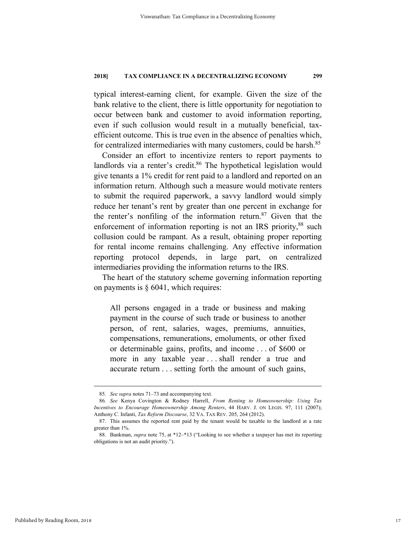typical interest-earning client, for example. Given the size of the bank relative to the client, there is little opportunity for negotiation to occur between bank and customer to avoid information reporting, even if such collusion would result in a mutually beneficial, taxefficient outcome. This is true even in the absence of penalties which, for centralized intermediaries with many customers, could be harsh.<sup>85</sup>

Consider an effort to incentivize renters to report payments to landlords via a renter's credit.<sup>86</sup> The hypothetical legislation would give tenants a 1% credit for rent paid to a landlord and reported on an information return. Although such a measure would motivate renters to submit the required paperwork, a savvy landlord would simply reduce her tenant's rent by greater than one percent in exchange for the renter's nonfiling of the information return. $87$  Given that the enforcement of information reporting is not an IRS priority,<sup>88</sup> such collusion could be rampant. As a result, obtaining proper reporting for rental income remains challenging. Any effective information reporting protocol depends, in large part, on centralized intermediaries providing the information returns to the IRS.

The heart of the statutory scheme governing information reporting on payments is  $\S$  6041, which requires:

All persons engaged in a trade or business and making payment in the course of such trade or business to another person, of rent, salaries, wages, premiums, annuities, compensations, remunerations, emoluments, or other fixed or determinable gains, profits, and income . . . of \$600 or more in any taxable year . . . shall render a true and accurate return . . . setting forth the amount of such gains,

 <sup>85</sup>*. See supra* notes 71–73 and accompanying text.

<sup>86</sup>*. See* Kenya Covington & Rodney Harrell, *From Renting to Homeownership: Using Tax Incentives to Encourage Homeownership Among Renters*, 44 HARV. J. ON LEGIS. 97, 111 (2007); Anthony C. Infanti, *Tax Reform Discourse*, 32 VA. TAX REV. 205, 264 (2012).

 <sup>87.</sup> This assumes the reported rent paid by the tenant would be taxable to the landlord at a rate greater than 1%.

 <sup>88.</sup> Bankman, *supra* note 75, at \*12–\*13 ("Looking to see whether a taxpayer has met its reporting obligations is not an audit priority.").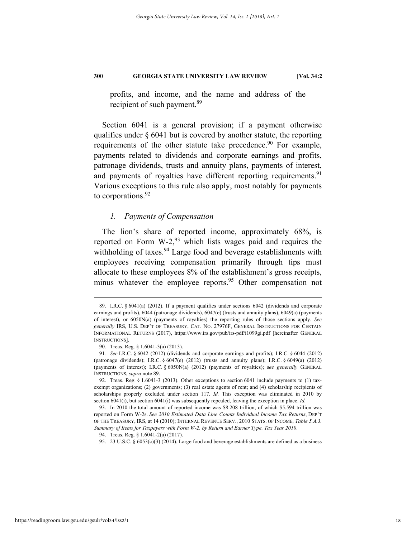profits, and income, and the name and address of the recipient of such payment.<sup>89</sup>

Section 6041 is a general provision; if a payment otherwise qualifies under § 6041 but is covered by another statute, the reporting requirements of the other statute take precedence.<sup>90</sup> For example, payments related to dividends and corporate earnings and profits, patronage dividends, trusts and annuity plans, payments of interest, and payments of royalties have different reporting requirements.<sup>91</sup> Various exceptions to this rule also apply, most notably for payments to corporations.<sup>92</sup>

# *1. Payments of Compensation*

The lion's share of reported income, approximately 68%, is reported on Form  $W-2$ , <sup>93</sup> which lists wages paid and requires the withholding of taxes. $94$  Large food and beverage establishments with employees receiving compensation primarily through tips must allocate to these employees 8% of the establishment's gross receipts, minus whatever the employee reports.<sup>95</sup> Other compensation not

 <sup>89.</sup> I.R.C. § 6041(a) (2012). If a payment qualifies under sections 6042 (dividends and corporate earnings and profits), 6044 (patronage dividends), 6047(e) (trusts and annuity plans), 6049(a) (payments of interest), or 6050N(a) (payments of royalties) the reporting rules of those sections apply. *See generally* IRS, U.S. DEP'T OF TREASURY, CAT. NO. 27976F, GENERAL INSTRUCTIONS FOR CERTAIN INFORMATIONAL RETURNS (2017), https://www.irs.gov/pub/irs-pdf/i1099gi.pdf [hereinafter GENERAL INSTRUCTIONS].

 <sup>90.</sup> Treas. Reg. § 1.6041-3(a) (2013).

<sup>91</sup>*. See* I.R.C. § 6042 (2012) (dividends and corporate earnings and profits); I.R.C. § 6044 (2012) (patronage dividends); I.R.C.  $\S 6047(e)$  (2012) (trusts and annuity plans); I.R.C.  $\S 6049(a)$  (2012) (payments of interest); I.R.C. § 6050N(a) (2012) (payments of royalties); s*ee generally* GENERAL INSTRUCTIONS, *supra* note 89.

 <sup>92.</sup> Treas. Reg. § 1.6041-3 (2013). Other exceptions to section 6041 include payments to (1) taxexempt organizations; (2) governments; (3) real estate agents of rent; and (4) scholarship recipients of scholarships properly excluded under section 117. *Id.* This exception was eliminated in 2010 by section 6041(i), but section 6041(i) was subsequently repealed, leaving the exception in place. *Id.*

 <sup>93.</sup> In 2010 the total amount of reported income was \$8.208 trillion, of which \$5.594 trillion was reported on Form W-2s. *See 2010 Estimated Data Line Counts Individual Income Tax Returns*, DEP'T OF THE TREASURY, IRS, at 14 (2010); INTERNAL REVENUE SERV., 2010 STATS. OF INCOME, *Table 5.A.3. Summary of Items for Taxpayers with Form W-2, by Return and Earner Type, Tax Year 2010*.

 <sup>94.</sup> Treas. Reg. § 1.6041-2(a) (2017).

 <sup>95. 23</sup> U.S.C. § 6053(c)(3) (2014). Large food and beverage establishments are defined as a business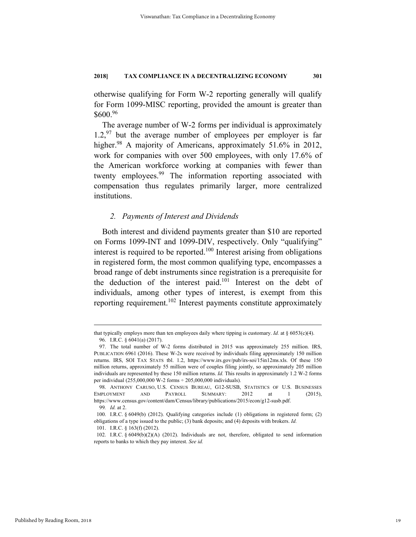otherwise qualifying for Form W-2 reporting generally will qualify for Form 1099-MISC reporting, provided the amount is greater than \$600.96

The average number of W-2 forms per individual is approximately  $1.2$ , <sup>97</sup> but the average number of employees per employer is far higher.<sup>98</sup> A majority of Americans, approximately 51.6% in 2012, work for companies with over 500 employees, with only 17.6% of the American workforce working at companies with fewer than twenty employees.<sup>99</sup> The information reporting associated with compensation thus regulates primarily larger, more centralized institutions.

# *2. Payments of Interest and Dividends*

Both interest and dividend payments greater than \$10 are reported on Forms 1099-INT and 1099-DIV, respectively. Only "qualifying" interest is required to be reported.<sup>100</sup> Interest arising from obligations in registered form, the most common qualifying type, encompasses a broad range of debt instruments since registration is a prerequisite for the deduction of the interest paid.101 Interest on the debt of individuals, among other types of interest, is exempt from this reporting requirement.<sup>102</sup> Interest payments constitute approximately

101. I.R.C. § 163(f) (2012).

that typically employs more than ten employees daily where tipping is customary. *Id.* at § 6053(c)(4). 96. I.R.C. § 6041(a) (2017).

 <sup>97.</sup> The total number of W-2 forms distributed in 2015 was approximately 255 million. IRS, PUBLICATION 6961 (2016). These W-2s were received by individuals filing approximately 150 million returns. IRS, SOI TAX STATS tbl. 1.2, https://www.irs.gov/pub/irs-soi/15in12ms.xls. Of these 150 million returns, approximately 55 million were of couples filing jointly, so approximately 205 million individuals are represented by these 150 million returns. *Id.* This results in approximately 1.2 W-2 forms per individual (255,000,000 W-2 forms ÷ 205,000,000 individuals).

 <sup>98.</sup> ANTHONY CARUSO, U.S. CENSUS BUREAU, G12-SUSB, STATISTICS OF U.S. BUSINESSES EMPLOYMENT AND PAYROLL SUMMARY: 2012 at 1 (2015), https://www.census.gov/content/dam/Census/library/publications/2015/econ/g12-susb.pdf. 99*. Id.* at 2.

 <sup>100.</sup> I.R.C. § 6049(b) (2012). Qualifying categories include (1) obligations in registered form; (2) obligations of a type issued to the public; (3) bank deposits; and (4) deposits with brokers. *Id.*

 <sup>102.</sup> I.R.C. § 6049(b)(2)(A) (2012). Individuals are not, therefore, obligated to send information reports to banks to which they pay interest. *See id.*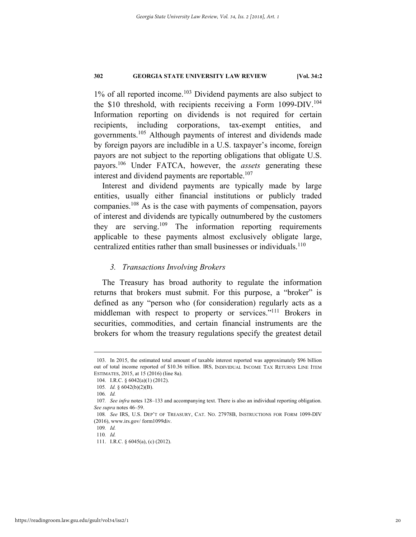$1\%$  of all reported income.<sup>103</sup> Dividend payments are also subject to the \$10 threshold, with recipients receiving a Form  $1099-DIV$ .<sup>104</sup> Information reporting on dividends is not required for certain recipients, including corporations, tax-exempt entities, and governments.105 Although payments of interest and dividends made by foreign payors are includible in a U.S. taxpayer's income, foreign payors are not subject to the reporting obligations that obligate U.S. payors.106 Under FATCA, however, the *assets* generating these interest and dividend payments are reportable.<sup>107</sup>

Interest and dividend payments are typically made by large entities, usually either financial institutions or publicly traded companies.108 As is the case with payments of compensation, payors of interest and dividends are typically outnumbered by the customers they are serving.<sup>109</sup> The information reporting requirements applicable to these payments almost exclusively obligate large, centralized entities rather than small businesses or individuals.<sup>110</sup>

#### *3. Transactions Involving Brokers*

The Treasury has broad authority to regulate the information returns that brokers must submit. For this purpose, a "broker" is defined as any "person who (for consideration) regularly acts as a middleman with respect to property or services."111 Brokers in securities, commodities, and certain financial instruments are the brokers for whom the treasury regulations specify the greatest detail

 <sup>103.</sup> In 2015, the estimated total amount of taxable interest reported was approximately \$96 billion out of total income reported of \$10.36 trillion. IRS, INDIVIDUAL INCOME TAX RETURNS LINE ITEM ESTIMATES, 2015, at 15 (2016) (line 8a).

 <sup>104.</sup> I.R.C. § 6042(a)(1) (2012).

<sup>105</sup>*. Id.* § 6042(b)(2)(B).

<sup>106</sup>*. Id.*

<sup>107</sup>*. See infra* notes 128–133 and accompanying text. There is also an individual reporting obligation. *See supra* notes 46–59.

<sup>108</sup>*. See* IRS, U.S. DEP'T OF TREASURY, CAT. NO. 27978B, INSTRUCTIONS FOR FORM 1099-DIV (2016), www.irs.gov/ form1099div.

<sup>109</sup>*. Id.* 

<sup>110</sup>*. Id.* 

 <sup>111.</sup> I.R.C. § 6045(a), (c) (2012).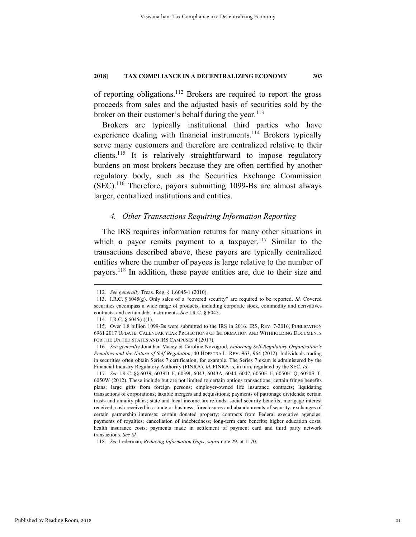of reporting obligations.112 Brokers are required to report the gross proceeds from sales and the adjusted basis of securities sold by the broker on their customer's behalf during the year.  $113$ 

Brokers are typically institutional third parties who have experience dealing with financial instruments.<sup>114</sup> Brokers typically serve many customers and therefore are centralized relative to their clients.115 It is relatively straightforward to impose regulatory burdens on most brokers because they are often certified by another regulatory body, such as the Securities Exchange Commission (SEC).116 Therefore, payors submitting 1099-Bs are almost always larger, centralized institutions and entities.

# *4. Other Transactions Requiring Information Reporting*

The IRS requires information returns for many other situations in which a payor remits payment to a taxpayer.<sup>117</sup> Similar to the transactions described above, these payors are typically centralized entities where the number of payees is large relative to the number of payors.118 In addition, these payee entities are, due to their size and

 <sup>112</sup>*. See generally* Treas. Reg. § 1.6045-1 (2010).

 <sup>113.</sup> I.R.C. § 6045(g). Only sales of a "covered security" are required to be reported. *Id.* Covered securities encompass a wide range of products, including corporate stock, commodity and derivatives contracts, and certain debt instruments. *See* I.R.C. § 6045.

 <sup>114.</sup> I.R.C. § 6045(c)(1).

 <sup>115.</sup> Over 1.8 billion 1099-Bs were submitted to the IRS in 2016. IRS, REV. 7-2016, PUBLICATION 6961 2017 UPDATE: CALENDAR YEAR PROJECTIONS OF INFORMATION AND WITHHOLDING DOCUMENTS FOR THE UNITED STATES AND IRS CAMPUSES 4 (2017).

<sup>116</sup>*. See generally* Jonathan Macey & Caroline Novogrod, *Enforcing Self-Regulatory Organization's Penalties and the Nature of Self-Regulation*, 40 HOFSTRA L. REV. 963, 964 (2012). Individuals trading in securities often obtain Series 7 certification, for example. The Series 7 exam is administered by the Financial Industry Regulatory Authority (FINRA). *Id.* FINRA is, in turn, regulated by the SEC. *Id.*

<sup>117</sup>*. See* I.R.C. §§ 6039, 6039D–F, 6039I, 6043, 6043A, 6044, 6047, 6050E–F, 6050H–Q, 6050S–T, 6050W (2012). These include but are not limited to certain options transactions; certain fringe benefits plans; large gifts from foreign persons; employer-owned life insurance contracts; liquidating transactions of corporations; taxable mergers and acquisitions; payments of patronage dividends; certain trusts and annuity plans; state and local income tax refunds; social security benefits; mortgage interest received; cash received in a trade or business; foreclosures and abandonments of security; exchanges of certain partnership interests; certain donated property; contracts from Federal executive agencies; payments of royalties; cancellation of indebtedness; long-term care benefits; higher education costs; health insurance costs; payments made in settlement of payment card and third party network transactions. *See id.*

<sup>118</sup>*. See* Lederman, *Reducing Information Gaps*, *supra* note 29, at 1170.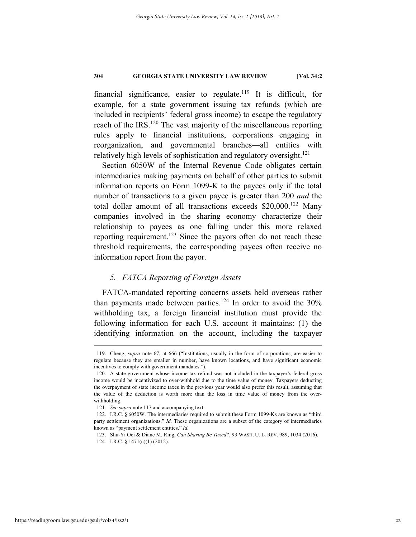financial significance, easier to regulate.<sup>119</sup> It is difficult, for example, for a state government issuing tax refunds (which are included in recipients' federal gross income) to escape the regulatory reach of the IRS.<sup>120</sup> The vast majority of the miscellaneous reporting rules apply to financial institutions, corporations engaging in reorganization, and governmental branches—all entities with relatively high levels of sophistication and regulatory oversight. $121$ 

Section 6050W of the Internal Revenue Code obligates certain intermediaries making payments on behalf of other parties to submit information reports on Form 1099-K to the payees only if the total number of transactions to a given payee is greater than 200 *and* the total dollar amount of all transactions exceeds  $$20,000$ .<sup>122</sup> Many companies involved in the sharing economy characterize their relationship to payees as one falling under this more relaxed reporting requirement.<sup>123</sup> Since the payors often do not reach these threshold requirements, the corresponding payees often receive no information report from the payor.

# *5. FATCA Reporting of Foreign Assets*

FATCA-mandated reporting concerns assets held overseas rather than payments made between parties.<sup>124</sup> In order to avoid the  $30\%$ withholding tax, a foreign financial institution must provide the following information for each U.S. account it maintains: (1) the identifying information on the account, including the taxpayer

 <sup>119.</sup> Cheng, *supra* note 67, at 666 ("Institutions, usually in the form of corporations, are easier to regulate because they are smaller in number, have known locations, and have significant economic incentives to comply with government mandates.").

 <sup>120.</sup> A state government whose income tax refund was not included in the taxpayer's federal gross income would be incentivized to over-withhold due to the time value of money. Taxpayers deducting the overpayment of state income taxes in the previous year would also prefer this result, assuming that the value of the deduction is worth more than the loss in time value of money from the overwithholding.

<sup>121</sup>*. See supra* note 117 and accompanying text.

 <sup>122.</sup> I.R.C. § 6050W. The intermediaries required to submit these Form 1099-Ks are known as "third party settlement organizations." *Id.* These organizations are a subset of the category of intermediaries known as "payment settlement entities." *Id.*

 <sup>123.</sup> Shu-Yi Oei & Diane M. Ring, *Can Sharing Be Taxed?*, 93 WASH. U. L. REV. 989, 1034 (2016).

 <sup>124.</sup> I.R.C. § 1471(c)(1) (2012).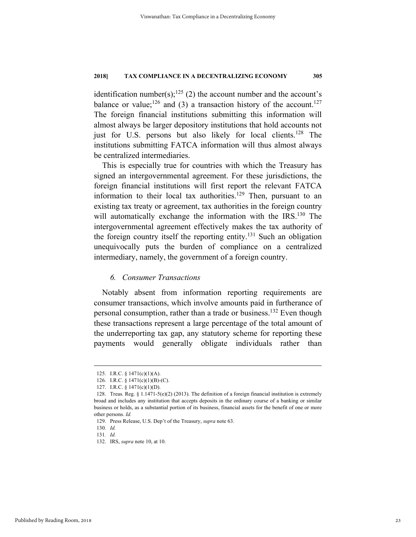identification number(s);<sup>125</sup> (2) the account number and the account's balance or value;<sup>126</sup> and (3) a transaction history of the account.<sup>127</sup> The foreign financial institutions submitting this information will almost always be larger depository institutions that hold accounts not just for U.S. persons but also likely for local clients.<sup>128</sup> The institutions submitting FATCA information will thus almost always be centralized intermediaries.

This is especially true for countries with which the Treasury has signed an intergovernmental agreement. For these jurisdictions, the foreign financial institutions will first report the relevant FATCA information to their local tax authorities.<sup>129</sup> Then, pursuant to an existing tax treaty or agreement, tax authorities in the foreign country will automatically exchange the information with the IRS.<sup>130</sup> The intergovernmental agreement effectively makes the tax authority of the foreign country itself the reporting entity.<sup>131</sup> Such an obligation unequivocally puts the burden of compliance on a centralized intermediary, namely, the government of a foreign country.

# *6. Consumer Transactions*

Notably absent from information reporting requirements are consumer transactions, which involve amounts paid in furtherance of personal consumption, rather than a trade or business.<sup>132</sup> Even though these transactions represent a large percentage of the total amount of the underreporting tax gap, any statutory scheme for reporting these payments would generally obligate individuals rather than

 <sup>125.</sup> I.R.C. § 1471(c)(1)(A).

 <sup>126.</sup> I.R.C. § 1471(c)(1)(B)-(C).

 <sup>127.</sup> I.R.C. § 1471(c)(1)(D).

<sup>128.</sup> Treas. Reg.  $\S 1.1471-5(e)(2)(2013)$ . The definition of a foreign financial institution is extremely broad and includes any institution that accepts deposits in the ordinary course of a banking or similar business or holds, as a substantial portion of its business, financial assets for the benefit of one or more other persons. *Id.*

 <sup>129.</sup> Press Release, U.S. Dep't of the Treasury, *supra* note 63.

<sup>130</sup>*. Id.*

<sup>131</sup>*. Id.*

 <sup>132.</sup> IRS, *supra* note 10, at 10.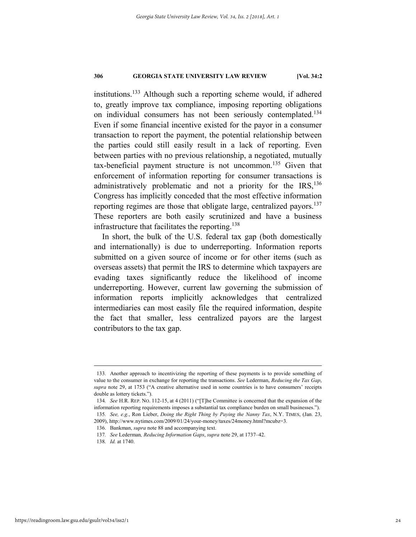institutions.133 Although such a reporting scheme would, if adhered to, greatly improve tax compliance, imposing reporting obligations on individual consumers has not been seriously contemplated.<sup>134</sup> Even if some financial incentive existed for the payor in a consumer transaction to report the payment, the potential relationship between the parties could still easily result in a lack of reporting. Even between parties with no previous relationship, a negotiated, mutually tax-beneficial payment structure is not uncommon.135 Given that enforcement of information reporting for consumer transactions is administratively problematic and not a priority for the  $IRS$ ,  $136$ Congress has implicitly conceded that the most effective information reporting regimes are those that obligate large, centralized payors.<sup>137</sup> These reporters are both easily scrutinized and have a business infrastructure that facilitates the reporting.<sup>138</sup>

In short, the bulk of the U.S. federal tax gap (both domestically and internationally) is due to underreporting. Information reports submitted on a given source of income or for other items (such as overseas assets) that permit the IRS to determine which taxpayers are evading taxes significantly reduce the likelihood of income underreporting. However, current law governing the submission of information reports implicitly acknowledges that centralized intermediaries can most easily file the required information, despite the fact that smaller, less centralized payors are the largest contributors to the tax gap.

 <sup>133.</sup> Another approach to incentivizing the reporting of these payments is to provide something of value to the consumer in exchange for reporting the transactions. *See* Lederman, *Reducing the Tax Gap*, *supra* note 29, at 1753 ("A creative alternative used in some countries is to have consumers' receipts double as lottery tickets.").

<sup>134</sup>*. See* H.R. REP. NO. 112-15, at 4 (2011) ("[T]he Committee is concerned that the expansion of the information reporting requirements imposes a substantial tax compliance burden on small businesses."). 135*. See, e.g.*, Ron Lieber, *Doing the Right Thing by Paying the Nanny Tax*, N.Y. TIMES, (Jan. 23,

<sup>2009),</sup> http://www.nytimes.com/2009/01/24/your-money/taxes/24money.html?mcubz=3.

 <sup>136.</sup> Bankman, *supra* note 88 and accompanying text.

<sup>137</sup>*. See* Lederman*, Reducing Information Gaps*, *supra* note 29, at 1737–42.

<sup>138</sup>*. Id.* at 1740.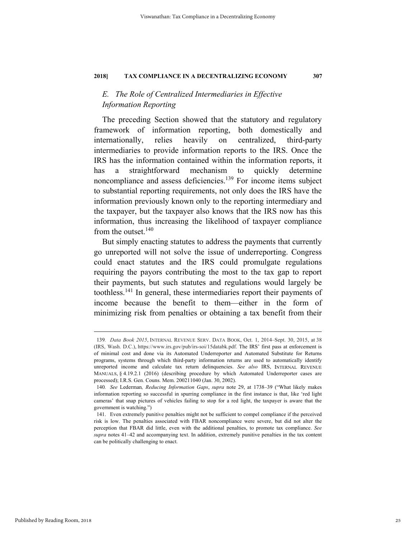# *E. The Role of Centralized Intermediaries in Effective Information Reporting*

The preceding Section showed that the statutory and regulatory framework of information reporting, both domestically and internationally, relies heavily on centralized, third-party intermediaries to provide information reports to the IRS. Once the IRS has the information contained within the information reports, it has a straightforward mechanism to quickly determine noncompliance and assess deficiencies.<sup>139</sup> For income items subject to substantial reporting requirements, not only does the IRS have the information previously known only to the reporting intermediary and the taxpayer, but the taxpayer also knows that the IRS now has this information, thus increasing the likelihood of taxpayer compliance from the outset.<sup>140</sup>

But simply enacting statutes to address the payments that currently go unreported will not solve the issue of underreporting. Congress could enact statutes and the IRS could promulgate regulations requiring the payors contributing the most to the tax gap to report their payments, but such statutes and regulations would largely be toothless.141 In general, these intermediaries report their payments of income because the benefit to them—either in the form of minimizing risk from penalties or obtaining a tax benefit from their

 <sup>139</sup>*. Data Book 2015*, INTERNAL REVENUE SERV. DATA BOOK, Oct. 1, 2014–Sept. 30, 2015, at 38 (IRS, Wash. D.C.), https://www.irs.gov/pub/irs-soi/15databk.pdf. The IRS' first pass at enforcement is of minimal cost and done via its Automated Underreporter and Automated Substitute for Returns programs, systems through which third-party information returns are used to automatically identify unreported income and calculate tax return delinquencies. *See also* IRS, INTERNAL REVENUE MANUALS, § 4.19.2.1 (2016) (describing procedure by which Automated Underreporter cases are processed); I.R.S. Gen. Couns. Mem. 200211040 (Jan. 30, 2002).

<sup>140</sup>*. See* Lederman*, Reducing Information Gaps*, *supra* note 29, at 1738–39 ("What likely makes information reporting so successful in spurring compliance in the first instance is that, like 'red light cameras' that snap pictures of vehicles failing to stop for a red light, the taxpayer is aware that the government is watching.")

 <sup>141.</sup> Even extremely punitive penalties might not be sufficient to compel compliance if the perceived risk is low. The penalties associated with FBAR noncompliance were severe, but did not alter the perception that FBAR did little, even with the additional penalties, to promote tax compliance. *See supra* notes 41–42 and accompanying text. In addition, extremely punitive penalties in the tax content can be politically challenging to enact.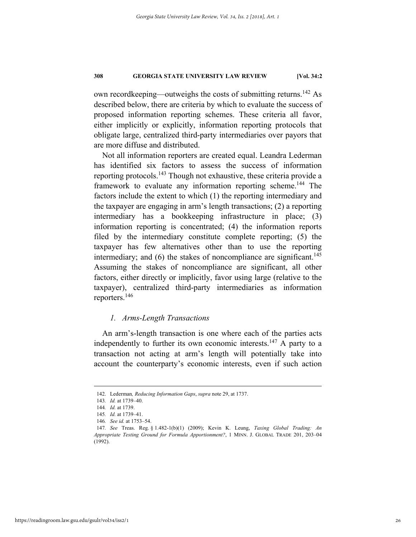own recordkeeping—outweighs the costs of submitting returns.<sup>142</sup> As described below, there are criteria by which to evaluate the success of proposed information reporting schemes. These criteria all favor, either implicitly or explicitly, information reporting protocols that obligate large, centralized third-party intermediaries over payors that are more diffuse and distributed.

Not all information reporters are created equal. Leandra Lederman has identified six factors to assess the success of information reporting protocols.143 Though not exhaustive, these criteria provide a framework to evaluate any information reporting scheme.<sup>144</sup> The factors include the extent to which (1) the reporting intermediary and the taxpayer are engaging in arm's length transactions; (2) a reporting intermediary has a bookkeeping infrastructure in place; (3) information reporting is concentrated; (4) the information reports filed by the intermediary constitute complete reporting; (5) the taxpayer has few alternatives other than to use the reporting intermediary; and  $(6)$  the stakes of noncompliance are significant.<sup>145</sup> Assuming the stakes of noncompliance are significant, all other factors, either directly or implicitly, favor using large (relative to the taxpayer), centralized third-party intermediaries as information reporters.146

## *1. Arms-Length Transactions*

An arm's-length transaction is one where each of the parties acts independently to further its own economic interests.<sup>147</sup> A party to a transaction not acting at arm's length will potentially take into account the counterparty's economic interests, even if such action

 <sup>142.</sup> Lederman*, Reducing Information Gaps*, *supra* note 29, at 1737.

<sup>143</sup>*. Id.* at 1739–40.

<sup>144</sup>*. Id.* at 1739.

<sup>145</sup>*. Id.* at 1739–41.

<sup>146</sup>*. See id.* at 1753–54.

<sup>147</sup>*. See* Treas. Reg. § 1.482-1(b)(1) (2009); Kevin K. Leung, *Taxing Global Trading: An Appropriate Testing Ground for Formula Apportionment?*, 1 MINN. J. GLOBAL TRADE 201, 203–04 (1992).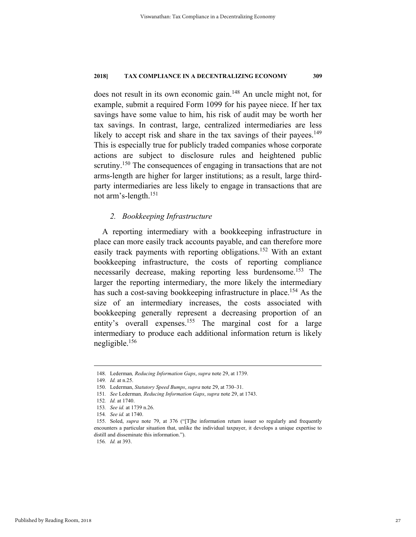does not result in its own economic gain.<sup>148</sup> An uncle might not, for example, submit a required Form 1099 for his payee niece. If her tax savings have some value to him, his risk of audit may be worth her tax savings. In contrast, large, centralized intermediaries are less likely to accept risk and share in the tax savings of their payees.<sup>149</sup> This is especially true for publicly traded companies whose corporate actions are subject to disclosure rules and heightened public scrutiny.<sup>150</sup> The consequences of engaging in transactions that are not arms-length are higher for larger institutions; as a result, large thirdparty intermediaries are less likely to engage in transactions that are not arm's-length.151

# *2. Bookkeeping Infrastructure*

A reporting intermediary with a bookkeeping infrastructure in place can more easily track accounts payable, and can therefore more easily track payments with reporting obligations.<sup>152</sup> With an extant bookkeeping infrastructure, the costs of reporting compliance necessarily decrease, making reporting less burdensome.<sup>153</sup> The larger the reporting intermediary, the more likely the intermediary has such a cost-saving bookkeeping infrastructure in place.<sup>154</sup> As the size of an intermediary increases, the costs associated with bookkeeping generally represent a decreasing proportion of an entity's overall expenses.<sup>155</sup> The marginal cost for a large intermediary to produce each additional information return is likely negligible.156

 <sup>148.</sup> Lederman*, Reducing Information Gaps*, *supra* note 29, at 1739.

<sup>149</sup>*. Id.* at n.25.

 <sup>150.</sup> Lederman, *Statutory Speed Bumps*, *supra* note 29, at 730–31.

<sup>151</sup>*. See* Lederman*, Reducing Information Gaps*, *supra* note 29, at 1743.

<sup>152</sup>*. Id.* at 1740.

<sup>153</sup>*. See id.* at 1739 n.26.

<sup>154</sup>*. See id.* at 1740.

 <sup>155.</sup> Soled, *supra* note 79, at 376 ("[T]he information return issuer so regularly and frequently encounters a particular situation that, unlike the individual taxpayer, it develops a unique expertise to distill and disseminate this information.").

<sup>156</sup>*. Id.* at 393.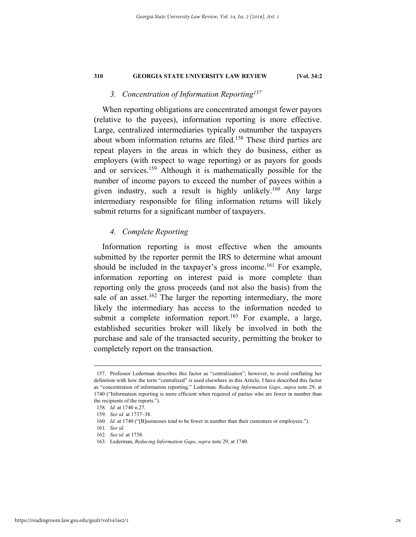# *3. Concentration of Information Reporting157*

When reporting obligations are concentrated amongst fewer payors (relative to the payees), information reporting is more effective. Large, centralized intermediaries typically outnumber the taxpayers about whom information returns are filed.<sup>158</sup> These third parties are repeat players in the areas in which they do business, either as employers (with respect to wage reporting) or as payors for goods and or services.<sup>159</sup> Although it is mathematically possible for the number of income payors to exceed the number of payees within a given industry, such a result is highly unlikely.<sup>160</sup> Any large intermediary responsible for filing information returns will likely submit returns for a significant number of taxpayers.

# *4. Complete Reporting*

Information reporting is most effective when the amounts submitted by the reporter permit the IRS to determine what amount should be included in the taxpayer's gross income.<sup>161</sup> For example, information reporting on interest paid is more complete than reporting only the gross proceeds (and not also the basis) from the sale of an asset.<sup>162</sup> The larger the reporting intermediary, the more likely the intermediary has access to the information needed to submit a complete information report.<sup>163</sup> For example, a large, established securities broker will likely be involved in both the purchase and sale of the transacted security, permitting the broker to completely report on the transaction.

 <sup>157.</sup> Professor Lederman describes this factor as "centralization"; however, to avoid conflating her definition with how the term "centralized" is used elsewhere in this Article, I have described this factor as "concentration of information reporting." Lederman*, Reducing Information Gaps*, *supra* note 29, at 1740 ("Information reporting is more efficient when required of parties who are fewer in number than the recipients of the reports.").

<sup>158</sup>*. Id.* at 1740 n.27.

<sup>159</sup>*. See id.* at 1737–38.

<sup>160</sup>*. Id.* at 1740 ("[B]usinesses tend to be fewer in number than their customers or employees.").

<sup>161</sup>*. See id.*

<sup>162</sup>*. See id.* at 1738.

 <sup>163.</sup> Lederman, *Reducing Information Gaps*, *supra* note 29, at 1740.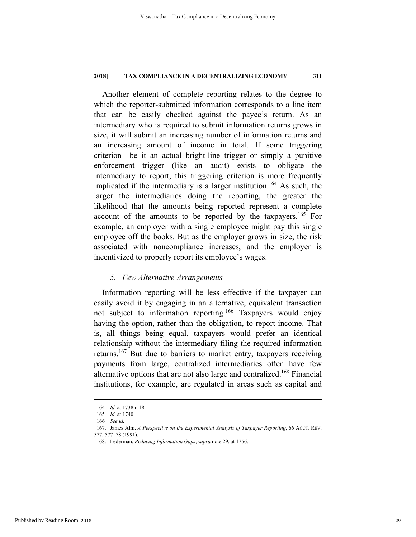Another element of complete reporting relates to the degree to which the reporter-submitted information corresponds to a line item that can be easily checked against the payee's return. As an intermediary who is required to submit information returns grows in size, it will submit an increasing number of information returns and an increasing amount of income in total. If some triggering criterion—be it an actual bright-line trigger or simply a punitive enforcement trigger (like an audit)—exists to obligate the intermediary to report, this triggering criterion is more frequently implicated if the intermediary is a larger institution.<sup>164</sup> As such, the larger the intermediaries doing the reporting, the greater the likelihood that the amounts being reported represent a complete account of the amounts to be reported by the taxpayers.165 For example, an employer with a single employee might pay this single employee off the books. But as the employer grows in size, the risk associated with noncompliance increases, and the employer is incentivized to properly report its employee's wages.

# *5. Few Alternative Arrangements*

Information reporting will be less effective if the taxpayer can easily avoid it by engaging in an alternative, equivalent transaction not subject to information reporting.166 Taxpayers would enjoy having the option, rather than the obligation, to report income. That is, all things being equal, taxpayers would prefer an identical relationship without the intermediary filing the required information returns.167 But due to barriers to market entry, taxpayers receiving payments from large, centralized intermediaries often have few alternative options that are not also large and centralized.168 Financial institutions, for example, are regulated in areas such as capital and

 <sup>164</sup>*. Id.* at 1738 n.18.

<sup>165</sup>*. Id.* at 1740.

<sup>166</sup>*. See id.*

 <sup>167.</sup> James Alm, *A Perspective on the Experimental Analysis of Taxpayer Reporting*, 66 ACCT. REV. 577, 577–78 (1991).

 <sup>168.</sup> Lederman, *Reducing Information Gaps*, *supra* note 29, at 1756.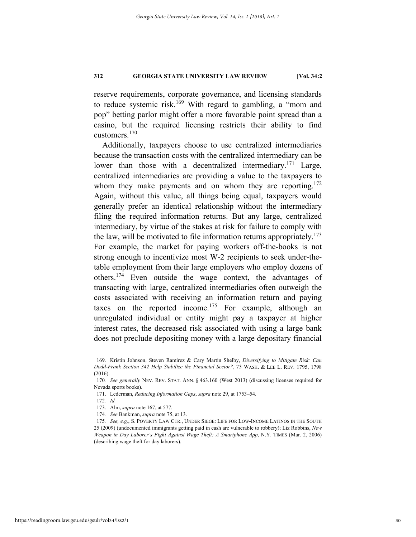reserve requirements, corporate governance, and licensing standards to reduce systemic risk.169 With regard to gambling, a "mom and pop" betting parlor might offer a more favorable point spread than a casino, but the required licensing restricts their ability to find customers.<sup>170</sup>

Additionally, taxpayers choose to use centralized intermediaries because the transaction costs with the centralized intermediary can be lower than those with a decentralized intermediary.<sup>171</sup> Large, centralized intermediaries are providing a value to the taxpayers to whom they make payments and on whom they are reporting.<sup>172</sup> Again, without this value, all things being equal, taxpayers would generally prefer an identical relationship without the intermediary filing the required information returns. But any large, centralized intermediary, by virtue of the stakes at risk for failure to comply with the law, will be motivated to file information returns appropriately.<sup>173</sup> For example, the market for paying workers off-the-books is not strong enough to incentivize most W-2 recipients to seek under-thetable employment from their large employers who employ dozens of others.174 Even outside the wage context, the advantages of transacting with large, centralized intermediaries often outweigh the costs associated with receiving an information return and paying taxes on the reported income.<sup>175</sup> For example, although an unregulated individual or entity might pay a taxpayer at higher interest rates, the decreased risk associated with using a large bank does not preclude depositing money with a large depositary financial

 <sup>169.</sup> Kristin Johnson, Steven Ramirez & Cary Martin Shelby, *Diversifying to Mitigate Risk: Can Dodd-Frank Section 342 Help Stabilize the Financial Sector?*, 73 WASH. & LEE L. REV. 1795, 1798 (2016).

<sup>170</sup>*. See generally* NEV. REV. STAT. ANN. § 463.160 (West 2013) (discussing licenses required for Nevada sports books).

 <sup>171.</sup> Lederman, *Reducing Information Gaps*, *supra* note 29, at 1753–54.

<sup>172</sup>*. Id.*

 <sup>173.</sup> Alm, *supra* note 167, at 577.

<sup>174</sup>*. See* Bankman, *supra* note 75, at 13.

<sup>175</sup>*. See, e.g.*, S. POVERTY LAW CTR., UNDER SIEGE: LIFE FOR LOW-INCOME LATINOS IN THE SOUTH 25 (2009) (undocumented immigrants getting paid in cash are vulnerable to robbery); Liz Robbins, *New Weapon in Day Laborer's Fight Against Wage Theft: A Smartphone App*, N.Y. TIMES (Mar. 2, 2006) (describing wage theft for day laborers).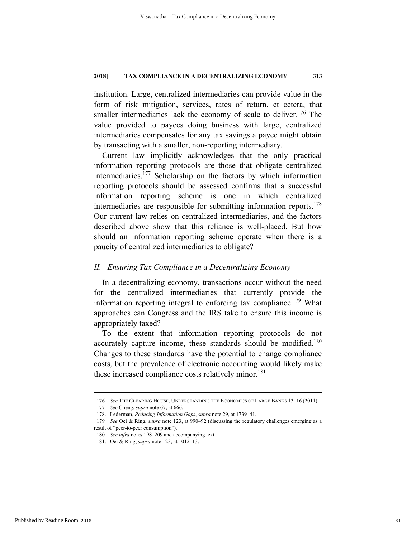institution. Large, centralized intermediaries can provide value in the form of risk mitigation, services, rates of return, et cetera, that smaller intermediaries lack the economy of scale to deliver.<sup>176</sup> The value provided to payees doing business with large, centralized intermediaries compensates for any tax savings a payee might obtain by transacting with a smaller, non-reporting intermediary.

Current law implicitly acknowledges that the only practical information reporting protocols are those that obligate centralized intermediaries.177 Scholarship on the factors by which information reporting protocols should be assessed confirms that a successful information reporting scheme is one in which centralized intermediaries are responsible for submitting information reports.<sup>178</sup> Our current law relies on centralized intermediaries, and the factors described above show that this reliance is well-placed. But how should an information reporting scheme operate when there is a paucity of centralized intermediaries to obligate?

# *II. Ensuring Tax Compliance in a Decentralizing Economy*

In a decentralizing economy, transactions occur without the need for the centralized intermediaries that currently provide the information reporting integral to enforcing tax compliance.<sup>179</sup> What approaches can Congress and the IRS take to ensure this income is appropriately taxed?

To the extent that information reporting protocols do not accurately capture income, these standards should be modified.<sup>180</sup> Changes to these standards have the potential to change compliance costs, but the prevalence of electronic accounting would likely make these increased compliance costs relatively minor.<sup>181</sup>

 <sup>176</sup>*. See* THE CLEARING HOUSE, UNDERSTANDING THE ECONOMICS OF LARGE BANKS 13–16 (2011).

<sup>177</sup>*. See* Cheng, *supra* note 67, at 666.

 <sup>178.</sup> Lederman*, Reducing Information Gaps*, *supra* note 29, at 1739–41.

<sup>179</sup>*. See* Oei & Ring, *supra* note 123, at 990–92 (discussing the regulatory challenges emerging as a result of "peer-to-peer consumption").

<sup>180</sup>*. See infra* notes 198–209 and accompanying text.

 <sup>181.</sup> Oei & Ring, *supra* note 123, at 1012–13.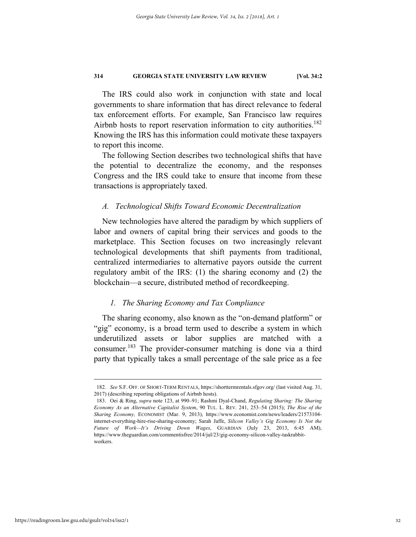The IRS could also work in conjunction with state and local governments to share information that has direct relevance to federal tax enforcement efforts. For example, San Francisco law requires Airbnb hosts to report reservation information to city authorities.<sup>182</sup> Knowing the IRS has this information could motivate these taxpayers to report this income.

The following Section describes two technological shifts that have the potential to decentralize the economy, and the responses Congress and the IRS could take to ensure that income from these transactions is appropriately taxed.

# *A. Technological Shifts Toward Economic Decentralization*

New technologies have altered the paradigm by which suppliers of labor and owners of capital bring their services and goods to the marketplace. This Section focuses on two increasingly relevant technological developments that shift payments from traditional, centralized intermediaries to alternative payors outside the current regulatory ambit of the IRS: (1) the sharing economy and (2) the blockchain—a secure, distributed method of recordkeeping.

# *1. The Sharing Economy and Tax Compliance*

The sharing economy, also known as the "on-demand platform" or "gig" economy, is a broad term used to describe a system in which underutilized assets or labor supplies are matched with a consumer.183 The provider-consumer matching is done via a third party that typically takes a small percentage of the sale price as a fee

 <sup>182</sup>*. See* S.F. OFF. OF SHORT-TERM RENTALS, https://shorttermrentals.sfgov.org/ (last visited Aug. 31, 2017) (describing reporting obligations of Airbnb hosts).

 <sup>183.</sup> Oei & Ring, *supra* note 123, at 990–91; Rashmi Dyal-Chand, *Regulating Sharing: The Sharing Economy As an Alternative Capitalist System*, 90 TUL. L. REV. 241, 253–54 (2015); *The Rise of the Sharing Economy,* ECONOMIST (Mar. 9, 2013), https://www.economist.com/news/leaders/21573104 internet-everything-hire-rise-sharing-economy; Sarah Jaffe, *Silicon Valley's Gig Economy Is Not the Future of Work—It's Driving Down Wages*, GUARDIAN (July 23, 2013, 6:45 AM), https://www.theguardian.com/commentisfree/2014/jul/23/gig-economy-silicon-valley-taskrabbitworkers.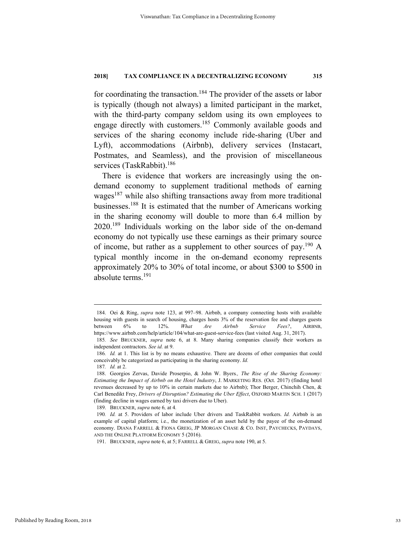for coordinating the transaction.<sup>184</sup> The provider of the assets or labor is typically (though not always) a limited participant in the market, with the third-party company seldom using its own employees to engage directly with customers.<sup>185</sup> Commonly available goods and services of the sharing economy include ride-sharing (Uber and Lyft), accommodations (Airbnb), delivery services (Instacart, Postmates, and Seamless), and the provision of miscellaneous services (TaskRabbit).<sup>186</sup>

There is evidence that workers are increasingly using the ondemand economy to supplement traditional methods of earning wages<sup>187</sup> while also shifting transactions away from more traditional businesses.188 It is estimated that the number of Americans working in the sharing economy will double to more than 6.4 million by 2020.189 Individuals working on the labor side of the on-demand economy do not typically use these earnings as their primary source of income, but rather as a supplement to other sources of pay.190 A typical monthly income in the on-demand economy represents approximately 20% to 30% of total income, or about \$300 to \$500 in absolute terms.<sup>191</sup>

 <sup>184.</sup> Oei & Ring, *supra* note 123, at 997–98. Airbnb, a company connecting hosts with available housing with guests in search of housing, charges hosts 3% of the reservation fee and charges guests between 6% to 12%. *What Are Airbnb Service Fees?*, AIRBNB, https://www.airbnb.com/help/article/104/what-are-guest-service-fees (last visited Aug. 31, 2017).

<sup>185</sup>*. See* BRUCKNER, *supra* note 6, at 8. Many sharing companies classify their workers as independent contractors. *See id.* at 9.

<sup>186</sup>*. Id.* at 1. This list is by no means exhaustive. There are dozens of other companies that could conceivably be categorized as participating in the sharing economy. *Id.*

<sup>187</sup>*. Id.* at 2.

 <sup>188.</sup> Georgios Zervas, Davide Proserpio, & John W. Byers*., The Rise of the Sharing Economy: Estimating the Impact of Airbnb on the Hotel Industry*, J. MARKETING RES. (Oct. 2017) (finding hotel revenues decreased by up to 10% in certain markets due to Airbnb); Thor Berger, Chinchih Chen, & Carl Benedikt Frey, *Drivers of Disruption? Estimating the Uber Effect*, OXFORD MARTIN SCH. 1 (2017) (finding decline in wages earned by taxi drivers due to Uber).

 <sup>189.</sup> BRUCKNER, *supra* note 6*,* at 4*.*

<sup>190</sup>*. Id.* at 5. Providers of labor include Uber drivers and TaskRabbit workers. *Id.* Airbnb is an example of capital platform; i.e., the monetization of an asset held by the payee of the on-demand economy. DIANA FARRELL & FIONA GREIG, JP MORGAN CHASE & CO. INST, PAYCHECKS, PAYDAYS, AND THE ONLINE PLATFORM ECONOMY 5 (2016).

 <sup>191.</sup> BRUCKNER, *supra* note 6, at 5; FARRELL & GREIG, *supra* note 190, at 5.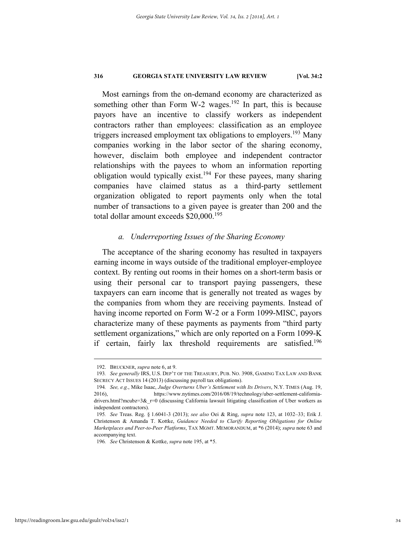Most earnings from the on-demand economy are characterized as something other than Form W-2 wages.<sup>192</sup> In part, this is because payors have an incentive to classify workers as independent contractors rather than employees: classification as an employee triggers increased employment tax obligations to employers.<sup>193</sup> Many companies working in the labor sector of the sharing economy, however, disclaim both employee and independent contractor relationships with the payees to whom an information reporting obligation would typically exist.<sup>194</sup> For these payees, many sharing companies have claimed status as a third-party settlement organization obligated to report payments only when the total number of transactions to a given payee is greater than 200 and the total dollar amount exceeds  $$20,000$ .<sup>195</sup>

#### *a. Underreporting Issues of the Sharing Economy*

The acceptance of the sharing economy has resulted in taxpayers earning income in ways outside of the traditional employer-employee context. By renting out rooms in their homes on a short-term basis or using their personal car to transport paying passengers, these taxpayers can earn income that is generally not treated as wages by the companies from whom they are receiving payments. Instead of having income reported on Form W-2 or a Form 1099-MISC, payors characterize many of these payments as payments from "third party settlement organizations," which are only reported on a Form 1099-K if certain, fairly lax threshold requirements are satisfied.<sup>196</sup>

 <sup>192.</sup> BRUCKNER, *supra* note 6, at 9.

<sup>193</sup>*. See generally* IRS, U.S. DEP'T OF THE TREASURY, PUB. NO. 3908, GAMING TAX LAW AND BANK SECRECY ACT ISSUES 14 (2013) (discussing payroll tax obligations).

<sup>194</sup>*. See, e.g.*, Mike Isaac, *Judge Overturns Uber's Settlement with Its Drivers*, N.Y. TIMES (Aug. 19, 2016), https://www.nytimes.com/2016/08/19/technology/uber-settlement-californiadrivers.html?mcubz=3& $r=0$  (discussing California lawsuit litigating classification of Uber workers as independent contractors).

<sup>195</sup>*. See* Treas. Reg. § 1.6041-3 (2013); *see also* Oei & Ring, *supra* note 123, at 1032–33; Erik J. Christenson & Amanda T. Kottke, *Guidance Needed to Clarify Reporting Obligations for Online Marketplaces and Peer-to-Peer Platforms*, TAX MGMT. MEMORANDUM, at \*6 (2014); *supra* note 63 and accompanying text.

<sup>196</sup>*. See* Christenson & Kottke, *supra* note 195, at \*5.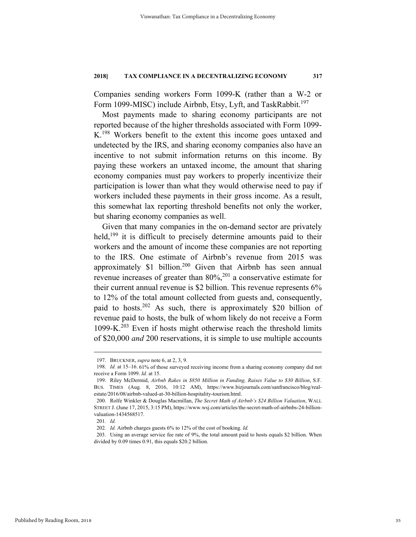Companies sending workers Form 1099-K (rather than a W-2 or Form 1099-MISC) include Airbnb, Etsy, Lyft, and TaskRabbit.<sup>197</sup>

Most payments made to sharing economy participants are not reported because of the higher thresholds associated with Form 1099- K.198 Workers benefit to the extent this income goes untaxed and undetected by the IRS, and sharing economy companies also have an incentive to not submit information returns on this income. By paying these workers an untaxed income, the amount that sharing economy companies must pay workers to properly incentivize their participation is lower than what they would otherwise need to pay if workers included these payments in their gross income. As a result, this somewhat lax reporting threshold benefits not only the worker, but sharing economy companies as well.

Given that many companies in the on-demand sector are privately held,<sup>199</sup> it is difficult to precisely determine amounts paid to their workers and the amount of income these companies are not reporting to the IRS. One estimate of Airbnb's revenue from 2015 was approximately  $$1$  billion.<sup>200</sup> Given that Airbnb has seen annual revenue increases of greater than  $80\%,^{201}$  a conservative estimate for their current annual revenue is \$2 billion. This revenue represents 6% to 12% of the total amount collected from guests and, consequently, paid to hosts.202 As such, there is approximately \$20 billion of revenue paid to hosts, the bulk of whom likely do not receive a Form 1099-K.203 Even if hosts might otherwise reach the threshold limits of \$20,000 *and* 200 reservations, it is simple to use multiple accounts

 <sup>197.</sup> BRUCKNER, *supra* note 6, at 2, 3, 9.

<sup>198</sup>*. Id.* at 15–16. 61% of those surveyed receiving income from a sharing economy company did not receive a Form 1099. *Id.* at 15.

 <sup>199.</sup> Riley McDermid, *Airbnb Rakes in \$850 Million in Funding, Raises Value to \$30 Billion*, S.F. BUS. TIMES (Aug. 8, 2016, 10:12 AM), https://www.bizjournals.com/sanfrancisco/blog/realestate/2016/08/airbnb-valued-at-30-billion-hospitality-tourism.html.

 <sup>200.</sup> Rolfe Winkler & Douglas Macmillan, *The Secret Math of Airbnb's \$24 Billion Valuation*, WALL STREET J. (June 17, 2015, 3:15 PM), https://www.wsj.com/articles/the-secret-math-of-airbnbs-24-billionvaluation-1434568517.

<sup>201</sup>*. Id.* 

<sup>202</sup>*. Id.* Airbnb charges guests 6% to 12% of the cost of booking. *Id.*

 <sup>203.</sup> Using an average service fee rate of 9%, the total amount paid to hosts equals \$2 billion. When divided by 0.09 times 0.91, this equals \$20.2 billion.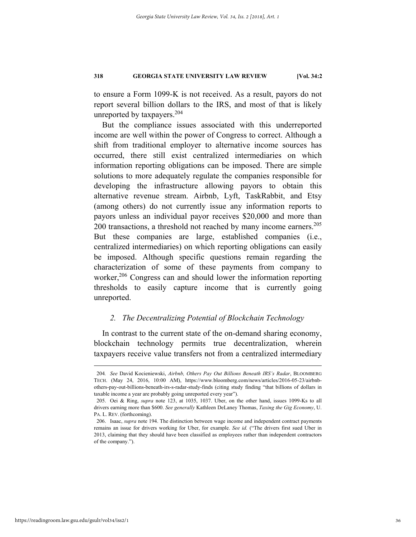to ensure a Form 1099-K is not received. As a result, payors do not report several billion dollars to the IRS, and most of that is likely unreported by taxpayers.204

But the compliance issues associated with this underreported income are well within the power of Congress to correct. Although a shift from traditional employer to alternative income sources has occurred, there still exist centralized intermediaries on which information reporting obligations can be imposed. There are simple solutions to more adequately regulate the companies responsible for developing the infrastructure allowing payors to obtain this alternative revenue stream. Airbnb, Lyft, TaskRabbit, and Etsy (among others) do not currently issue any information reports to payors unless an individual payor receives \$20,000 and more than 200 transactions, a threshold not reached by many income earners. $205$ But these companies are large, established companies (i.e., centralized intermediaries) on which reporting obligations can easily be imposed. Although specific questions remain regarding the characterization of some of these payments from company to worker,<sup>206</sup> Congress can and should lower the information reporting thresholds to easily capture income that is currently going unreported.

# *2. The Decentralizing Potential of Blockchain Technology*

In contrast to the current state of the on-demand sharing economy, blockchain technology permits true decentralization, wherein taxpayers receive value transfers not from a centralized intermediary

 <sup>204</sup>*. See* David Kocieniewski, *Airbnb, Others Pay Out Billions Beneath IRS's Radar*, BLOOMBERG TECH. (May 24, 2016, 10:00 AM), https://www.bloomberg.com/news/articles/2016-05-23/airbnbothers-pay-out-billions-beneath-irs-s-radar-study-finds (citing study finding "that billions of dollars in taxable income a year are probably going unreported every year").

 <sup>205.</sup> Oei & Ring, *supra* note 123, at 1035, 1037. Uber, on the other hand, issues 1099-Ks to all drivers earning more than \$600. *See generally* Kathleen DeLaney Thomas, *Taxing the Gig Economy*, U. PA. L. REV. (forthcoming).

 <sup>206.</sup> Isaac, *supra* note 194. The distinction between wage income and independent contract payments remains an issue for drivers working for Uber, for example. *See id.* ("The drivers first sued Uber in 2013, claiming that they should have been classified as employees rather than independent contractors of the company.").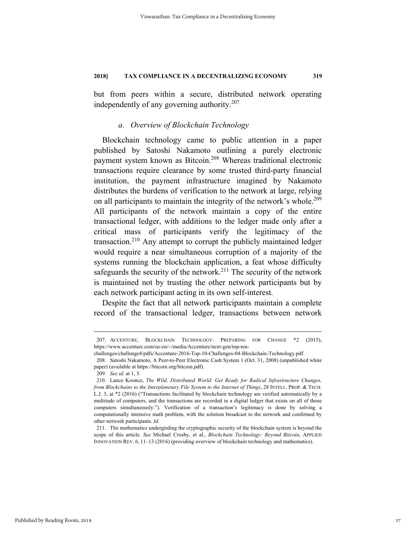but from peers within a secure, distributed network operating independently of any governing authority.207

# *a. Overview of Blockchain Technology*

Blockchain technology came to public attention in a paper published by Satoshi Nakamoto outlining a purely electronic payment system known as Bitcoin.208 Whereas traditional electronic transactions require clearance by some trusted third-party financial institution, the payment infrastructure imagined by Nakamoto distributes the burdens of verification to the network at large, relying on all participants to maintain the integrity of the network's whole.<sup>209</sup> All participants of the network maintain a copy of the entire transactional ledger, with additions to the ledger made only after a critical mass of participants verify the legitimacy of the transaction.<sup>210</sup> Any attempt to corrupt the publicly maintained ledger would require a near simultaneous corruption of a majority of the systems running the blockchain application, a feat whose difficulty safeguards the security of the network.<sup>211</sup> The security of the network is maintained not by trusting the other network participants but by each network participant acting in its own self-interest.

Despite the fact that all network participants maintain a complete record of the transactional ledger, transactions between network

 <sup>207.</sup> ACCENTURE, BLOCKCHAIN TECHNOLOGY: PREPARING FOR CHANGE \*2 (2015), https://www.accenture.com/us-en/~/media/Accenture/next-gen/top-ten-

challenges/challenge4/pdfs/Accenture-2016-Top-10-Challenges-04-Blockchain-Technology.pdf.

 <sup>208.</sup> Satoshi Nakamoto, A Peer-to-Peer Electronic Cash System 1 (Oct. 31, 2008) (unpublished white paper) (available at https://bitcoin.org/bitcoin.pdf).

<sup>209</sup>*. See id.* at 1, 5.

 <sup>210.</sup> Lance Koonce, *The Wild, Distributed World: Get Ready for Radical Infrastructure Changes, from Blockchains to the Interplanetary File System to the Internet of Things*, 28 INTELL. PROP. & TECH. L.J. 3, at \*2 (2016) ("Transactions facilitated by blockchain technology are verified automatically by a multitude of computers, and the transactions are recorded in a digital ledger that exists on all of those computers simultaneously."). Verification of a transaction's legitimacy is done by solving a computationally intensive math problem, with the solution broadcast to the network and confirmed by other network participants. *Id.*

 <sup>211.</sup> The mathematics undergirding the cryptographic security of the blockchain system is beyond the scope of this article. *See* Michael Crosby, et al., *Blockchain Technology: Beyond Bitcoin*, APPLIED INNOVATION REV. 6, 11–13 (2016) (providing overview of blockchain technology and mathematics).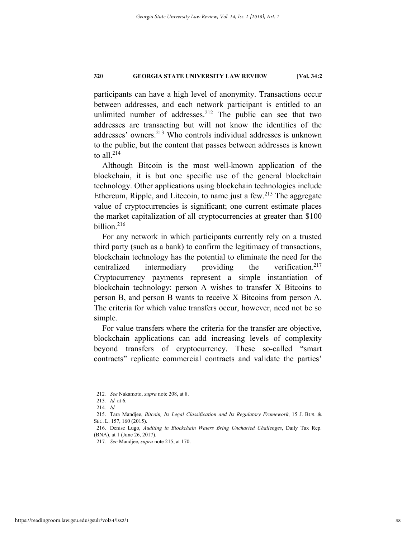participants can have a high level of anonymity. Transactions occur between addresses, and each network participant is entitled to an unlimited number of addresses. $212$  The public can see that two addresses are transacting but will not know the identities of the addresses' owners.213 Who controls individual addresses is unknown to the public, but the content that passes between addresses is known to all. $^{214}$ 

Although Bitcoin is the most well-known application of the blockchain, it is but one specific use of the general blockchain technology. Other applications using blockchain technologies include Ethereum, Ripple, and Litecoin, to name just a few.<sup>215</sup> The aggregate value of cryptocurrencies is significant; one current estimate places the market capitalization of all cryptocurrencies at greater than \$100 billion.<sup>216</sup>

For any network in which participants currently rely on a trusted third party (such as a bank) to confirm the legitimacy of transactions, blockchain technology has the potential to eliminate the need for the centralized intermediary providing the verification.<sup>217</sup> Cryptocurrency payments represent a simple instantiation of blockchain technology: person A wishes to transfer X Bitcoins to person B, and person B wants to receive X Bitcoins from person A. The criteria for which value transfers occur, however, need not be so simple.

For value transfers where the criteria for the transfer are objective, blockchain applications can add increasing levels of complexity beyond transfers of cryptocurrency. These so-called "smart contracts" replicate commercial contracts and validate the parties'

 <sup>212</sup>*. See* Nakamoto, *supra* note 208, at 8.

<sup>213</sup>*. Id.* at 6.

<sup>214</sup>*. Id.*

 <sup>215.</sup> Tara Mandjee, *Bitcoin, Its Legal Classification and Its Regulatory Framework*, 15 J. BUS. & SEC. L. 157, 160 (2015).

 <sup>216.</sup> Denise Lugo, *Auditing in Blockchain Waters Bring Uncharted Challenges*, Daily Tax Rep. (BNA), at 1 (June 26, 2017).

<sup>217</sup>*. See* Mandjee, *supra* note 215, at 170.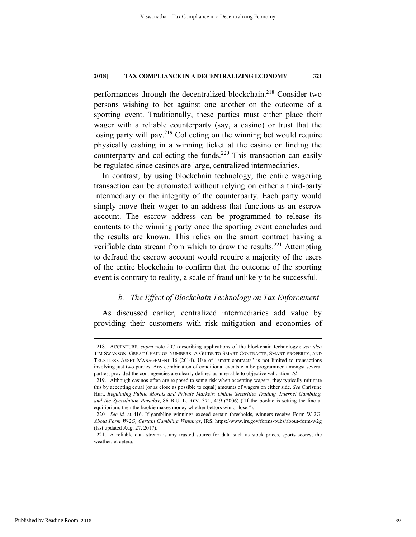performances through the decentralized blockchain.218 Consider two persons wishing to bet against one another on the outcome of a sporting event. Traditionally, these parties must either place their wager with a reliable counterparty (say, a casino) or trust that the losing party will pay.<sup>219</sup> Collecting on the winning bet would require physically cashing in a winning ticket at the casino or finding the counterparty and collecting the funds.<sup>220</sup> This transaction can easily be regulated since casinos are large, centralized intermediaries.

In contrast, by using blockchain technology, the entire wagering transaction can be automated without relying on either a third-party intermediary or the integrity of the counterparty. Each party would simply move their wager to an address that functions as an escrow account. The escrow address can be programmed to release its contents to the winning party once the sporting event concludes and the results are known. This relies on the smart contract having a verifiable data stream from which to draw the results.<sup>221</sup> Attempting to defraud the escrow account would require a majority of the users of the entire blockchain to confirm that the outcome of the sporting event is contrary to reality, a scale of fraud unlikely to be successful.

# *b. The Effect of Blockchain Technology on Tax Enforcement*

As discussed earlier, centralized intermediaries add value by providing their customers with risk mitigation and economies of

 <sup>218.</sup> ACCENTURE, *supra* note 207 (describing applications of the blockchain technology); *see also*  TIM SWANSON, GREAT CHAIN OF NUMBERS: A GUIDE TO SMART CONTRACTS, SMART PROPERTY, AND TRUSTLESS ASSET MANAGEMENT 16 (2014). Use of "smart contracts" is not limited to transactions involving just two parties. Any combination of conditional events can be programmed amongst several parties, provided the contingencies are clearly defined as amenable to objective validation. *Id.* 

 <sup>219.</sup> Although casinos often are exposed to some risk when accepting wagers, they typically mitigate this by accepting equal (or as close as possible to equal) amounts of wagers on either side. *See* Christine Hurt, *Regulating Public Morals and Private Markets: Online Securities Trading, Internet Gambling, and the Speculation Paradox*, 86 B.U. L. REV. 371, 419 (2006) ("If the bookie is setting the line at equilibrium, then the bookie makes money whether bettors win or lose.").

<sup>220</sup>*. See id.* at 416. If gambling winnings exceed certain thresholds, winners receive Form W-2G. *About Form W-2G, Certain Gambling Winnings*, IRS, https://www.irs.gov/forms-pubs/about-form-w2g (last updated Aug. 27, 2017).

 <sup>221.</sup> A reliable data stream is any trusted source for data such as stock prices, sports scores, the weather, et cetera.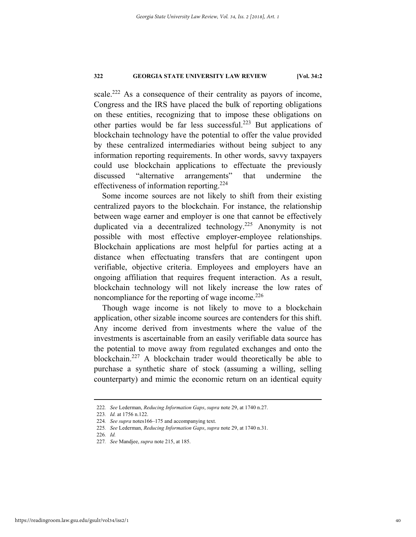scale.<sup>222</sup> As a consequence of their centrality as payors of income, Congress and the IRS have placed the bulk of reporting obligations on these entities, recognizing that to impose these obligations on other parties would be far less successful.223 But applications of blockchain technology have the potential to offer the value provided by these centralized intermediaries without being subject to any information reporting requirements. In other words, savvy taxpayers could use blockchain applications to effectuate the previously discussed "alternative arrangements" that undermine the effectiveness of information reporting.<sup>224</sup>

Some income sources are not likely to shift from their existing centralized payors to the blockchain. For instance, the relationship between wage earner and employer is one that cannot be effectively duplicated via a decentralized technology.<sup>225</sup> Anonymity is not possible with most effective employer-employee relationships. Blockchain applications are most helpful for parties acting at a distance when effectuating transfers that are contingent upon verifiable, objective criteria. Employees and employers have an ongoing affiliation that requires frequent interaction. As a result, blockchain technology will not likely increase the low rates of noncompliance for the reporting of wage income. $226$ 

Though wage income is not likely to move to a blockchain application, other sizable income sources are contenders for this shift. Any income derived from investments where the value of the investments is ascertainable from an easily verifiable data source has the potential to move away from regulated exchanges and onto the blockchain.227 A blockchain trader would theoretically be able to purchase a synthetic share of stock (assuming a willing, selling counterparty) and mimic the economic return on an identical equity

 <sup>222</sup>*. See* Lederman, *Reducing Information Gaps*, *supra* note 29, at 1740 n.27.

<sup>223</sup>*. Id.* at 1756 n.122.

<sup>224</sup>*. See supra* notes166–175 and accompanying text.

<sup>225</sup>*. See* Lederman, *Reducing Information Gaps*, *supra* note 29, at 1740 n.31.

<sup>226</sup>*. Id.* 

<sup>227</sup>*. See* Mandjee, *supra* note 215, at 185.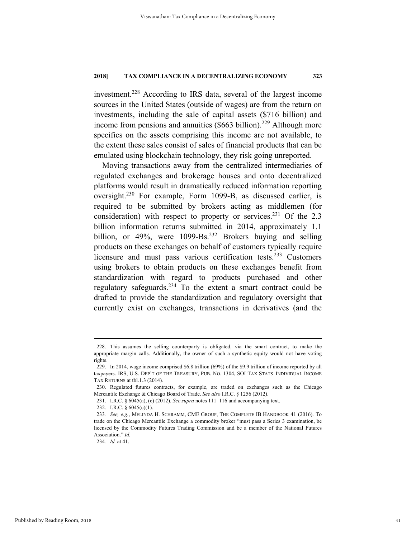investment.228 According to IRS data, several of the largest income sources in the United States (outside of wages) are from the return on investments, including the sale of capital assets (\$716 billion) and income from pensions and annuities  $(\$663$  billion).<sup>229</sup> Although more specifics on the assets comprising this income are not available, to the extent these sales consist of sales of financial products that can be emulated using blockchain technology, they risk going unreported.

Moving transactions away from the centralized intermediaries of regulated exchanges and brokerage houses and onto decentralized platforms would result in dramatically reduced information reporting oversight.230 For example, Form 1099-B, as discussed earlier, is required to be submitted by brokers acting as middlemen (for consideration) with respect to property or services.<sup>231</sup> Of the 2.3 billion information returns submitted in 2014, approximately 1.1 billion, or  $49\%$ , were  $1099-Bs<sup>232</sup>$  Brokers buying and selling products on these exchanges on behalf of customers typically require licensure and must pass various certification tests.<sup>233</sup> Customers using brokers to obtain products on these exchanges benefit from standardization with regard to products purchased and other regulatory safeguards.<sup>234</sup> To the extent a smart contract could be drafted to provide the standardization and regulatory oversight that currently exist on exchanges, transactions in derivatives (and the

 <sup>228.</sup> This assumes the selling counterparty is obligated, via the smart contract, to make the appropriate margin calls. Additionally, the owner of such a synthetic equity would not have voting rights.

 <sup>229.</sup> In 2014, wage income comprised \$6.8 trillion (69%) of the \$9.9 trillion of income reported by all taxpayers. IRS, U.S. DEP'T OF THE TREASURY, PUB. NO. 1304, SOI TAX STATS–INDIVIDUAL INCOME TAX RETURNS at tbl.1.3 (2014).

 <sup>230.</sup> Regulated futures contracts, for example, are traded on exchanges such as the Chicago Mercantile Exchange & Chicago Board of Trade. *See also* I.R.C. § 1256 (2012).

 <sup>231.</sup> I.R.C. § 6045(a), (c) (2012). *See supra* notes 111–116 and accompanying text.

 <sup>232.</sup> I.R.C. § 6045(c)(1).

<sup>233</sup>*. See, e.g.*, MELINDA H. SCHRAMM, CME GROUP, THE COMPLETE IB HANDBOOK 41 (2016). To trade on the Chicago Mercantile Exchange a commodity broker "must pass a Series 3 examination, be licensed by the Commodity Futures Trading Commission and be a member of the National Futures Association." *Id.*

<sup>234</sup>*. Id.* at 41.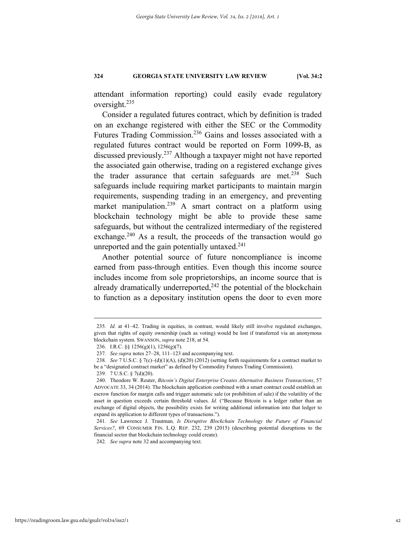attendant information reporting) could easily evade regulatory oversight.235

Consider a regulated futures contract, which by definition is traded on an exchange registered with either the SEC or the Commodity Futures Trading Commission.236 Gains and losses associated with a regulated futures contract would be reported on Form 1099-B, as discussed previously.<sup>237</sup> Although a taxpayer might not have reported the associated gain otherwise, trading on a registered exchange gives the trader assurance that certain safeguards are met.<sup>238</sup> Such safeguards include requiring market participants to maintain margin requirements, suspending trading in an emergency, and preventing market manipulation.<sup>239</sup> A smart contract on a platform using blockchain technology might be able to provide these same safeguards, but without the centralized intermediary of the registered exchange. $240$  As a result, the proceeds of the transaction would go unreported and the gain potentially untaxed. $241$ 

Another potential source of future noncompliance is income earned from pass-through entities. Even though this income source includes income from sole proprietorships, an income source that is already dramatically underreported, $^{242}$  the potential of the blockchain to function as a depositary institution opens the door to even more

242*. See supra* note 32 and accompanying text.

 <sup>235</sup>*. Id.* at 41–42. Trading in equities, in contrast, would likely still involve regulated exchanges, given that rights of equity ownership (such as voting) would be lost if transferred via an anonymous blockchain system. SWANSON, *supra* note 218, at 54.

 <sup>236.</sup> I.R.C. §§ 1256(g)(1), 1256(g)(7).

<sup>237</sup>*. See supra* notes 27–28, 111–123 and accompanying text.

<sup>238</sup>*. See* 7 U.S.C. § 7(c)–(d)(1)(A), (d)(20) (2012) (setting forth requirements for a contract market to be a "designated contract market" as defined by Commodity Futures Trading Commission).

 <sup>239. 7</sup> U.S.C. § 7(d)(20).

 <sup>240.</sup> Theodore W. Reuter, *Bitcoin's Digital Enterprise Creates Alternative Business Transactions*, 57 ADVOCATE 33, 34 (2014). The blockchain application combined with a smart contract could establish an escrow function for margin calls and trigger automatic sale (or prohibition of sale) if the volatility of the asset in question exceeds certain threshold values. *Id.* ("Because Bitcoin is a ledger rather than an exchange of digital objects, the possibility exists for writing additional information into that ledger to expand its application to different types of transactions.").

<sup>241</sup>*. See* Lawrence J. Trautman*, Is Disruptive Blockchain Technology the Future of Financial Services?*, 69 CONSUMER FIN. L.Q. REP. 232, 239 (2015) (describing potential disruptions to the financial sector that blockchain technology could create).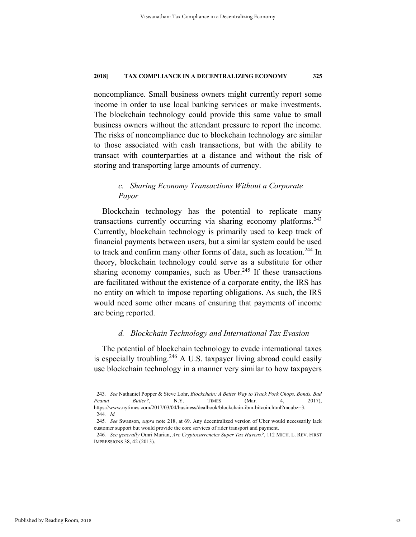noncompliance. Small business owners might currently report some income in order to use local banking services or make investments. The blockchain technology could provide this same value to small business owners without the attendant pressure to report the income. The risks of noncompliance due to blockchain technology are similar to those associated with cash transactions, but with the ability to transact with counterparties at a distance and without the risk of storing and transporting large amounts of currency.

# *c. Sharing Economy Transactions Without a Corporate Payor*

Blockchain technology has the potential to replicate many transactions currently occurring via sharing economy platforms. $243$ Currently, blockchain technology is primarily used to keep track of financial payments between users, but a similar system could be used to track and confirm many other forms of data, such as location. 244 In theory, blockchain technology could serve as a substitute for other sharing economy companies, such as  $Uber.<sup>245</sup>$  If these transactions are facilitated without the existence of a corporate entity, the IRS has no entity on which to impose reporting obligations. As such, the IRS would need some other means of ensuring that payments of income are being reported.

## *d. Blockchain Technology and International Tax Evasion*

The potential of blockchain technology to evade international taxes is especially troubling.<sup>246</sup> A U.S. taxpayer living abroad could easily use blockchain technology in a manner very similar to how taxpayers

 <sup>243</sup>*. See* Nathaniel Popper & Steve Lohr, *Blockchain: A Better Way to Track Pork Chops, Bonds, Bad Peanut Butter?*, N.Y. TIMES (Mar. 4, 2017), https://www.nytimes.com/2017/03/04/business/dealbook/blockchain-ibm-bitcoin.html?mcubz=3. 244*. Id.* 

<sup>245</sup>*. See* Swanson, *supra* note 218, at 69. Any decentralized version of Uber would necessarily lack customer support but would provide the core services of rider transport and payment.

<sup>246</sup>*. See generally* Omri Marian, *Are Cryptocurrencies Super Tax Havens?*, 112 MICH. L. REV. FIRST IMPRESSIONS 38, 42 (2013).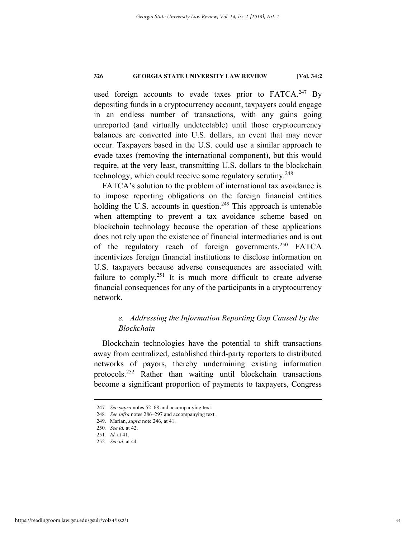used foreign accounts to evade taxes prior to  $FATCA.<sup>247</sup>$  By depositing funds in a cryptocurrency account, taxpayers could engage in an endless number of transactions, with any gains going unreported (and virtually undetectable) until those cryptocurrency balances are converted into U.S. dollars, an event that may never occur. Taxpayers based in the U.S. could use a similar approach to evade taxes (removing the international component), but this would require, at the very least, transmitting U.S. dollars to the blockchain technology, which could receive some regulatory scrutiny.<sup>248</sup>

FATCA's solution to the problem of international tax avoidance is to impose reporting obligations on the foreign financial entities holding the U.S. accounts in question.<sup>249</sup> This approach is untenable when attempting to prevent a tax avoidance scheme based on blockchain technology because the operation of these applications does not rely upon the existence of financial intermediaries and is out of the regulatory reach of foreign governments.<sup>250</sup> FATCA incentivizes foreign financial institutions to disclose information on U.S. taxpayers because adverse consequences are associated with failure to comply.<sup>251</sup> It is much more difficult to create adverse financial consequences for any of the participants in a cryptocurrency network.

# *e. Addressing the Information Reporting Gap Caused by the Blockchain*

Blockchain technologies have the potential to shift transactions away from centralized, established third-party reporters to distributed networks of payors, thereby undermining existing information protocols.252 Rather than waiting until blockchain transactions become a significant proportion of payments to taxpayers, Congress

 <sup>247</sup>*. See supra* notes 52–68 and accompanying text.

<sup>248</sup>*. See infra* notes 286–297 and accompanying text.

 <sup>249.</sup> Marian, *supra* note 246, at 41.

<sup>250</sup>*. See id.* at 42.

<sup>251</sup>*. Id.* at 41.

<sup>252</sup>*. See id.* at 44.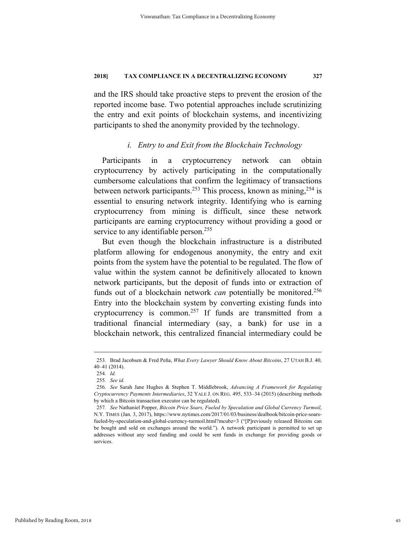and the IRS should take proactive steps to prevent the erosion of the reported income base. Two potential approaches include scrutinizing the entry and exit points of blockchain systems, and incentivizing participants to shed the anonymity provided by the technology.

# *i. Entry to and Exit from the Blockchain Technology*

Participants in a cryptocurrency network can obtain cryptocurrency by actively participating in the computationally cumbersome calculations that confirm the legitimacy of transactions between network participants.<sup>253</sup> This process, known as mining,<sup>254</sup> is essential to ensuring network integrity. Identifying who is earning cryptocurrency from mining is difficult, since these network participants are earning cryptocurrency without providing a good or service to any identifiable person.<sup>255</sup>

But even though the blockchain infrastructure is a distributed platform allowing for endogenous anonymity, the entry and exit points from the system have the potential to be regulated. The flow of value within the system cannot be definitively allocated to known network participants, but the deposit of funds into or extraction of funds out of a blockchain network *can* potentially be monitored.<sup>256</sup> Entry into the blockchain system by converting existing funds into cryptocurrency is common.<sup>257</sup> If funds are transmitted from a traditional financial intermediary (say, a bank) for use in a blockchain network, this centralized financial intermediary could be

 <sup>253.</sup> Brad Jacobsen & Fred Peña, *What Every Lawyer Should Know About Bitcoins*, 27 UTAH B.J. 40, 40–41 (2014).

<sup>254</sup>*. Id.*

<sup>255</sup>*. See id.*

<sup>256</sup>*. See* Sarah Jane Hughes & Stephen T. Middlebrook, *Advancing A Framework for Regulating Cryptocurrency Payments Intermediaries*, 32 YALE J. ON REG. 495, 533–34 (2015) (describing methods by which a Bitcoin transaction executor can be regulated).

<sup>257</sup>*. See* Nathaniel Popper, *Bitcoin Price Soars, Fueled by Speculation and Global Currency Turmoil*, N.Y. TIMES (Jan. 3, 2017), https://www.nytimes.com/2017/01/03/business/dealbook/bitcoin-price-soarsfueled-by-speculation-and-global-currency-turmoil.html?mcubz=3 ("[P]reviously released Bitcoins can be bought and sold on exchanges around the world."). A network participant is permitted to set up addresses without any seed funding and could be sent funds in exchange for providing goods or services.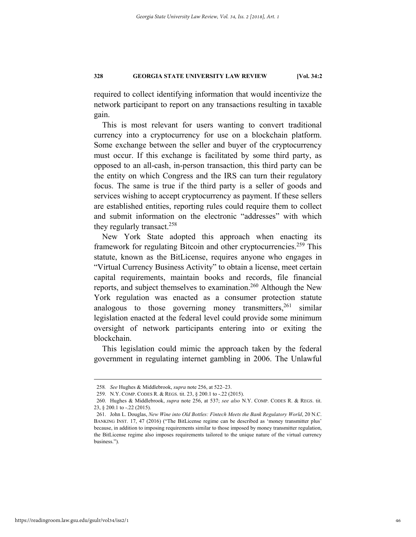required to collect identifying information that would incentivize the network participant to report on any transactions resulting in taxable gain.

This is most relevant for users wanting to convert traditional currency into a cryptocurrency for use on a blockchain platform. Some exchange between the seller and buyer of the cryptocurrency must occur. If this exchange is facilitated by some third party, as opposed to an all-cash, in-person transaction, this third party can be the entity on which Congress and the IRS can turn their regulatory focus. The same is true if the third party is a seller of goods and services wishing to accept cryptocurrency as payment. If these sellers are established entities, reporting rules could require them to collect and submit information on the electronic "addresses" with which they regularly transact.<sup>258</sup>

New York State adopted this approach when enacting its framework for regulating Bitcoin and other cryptocurrencies.<sup>259</sup> This statute, known as the BitLicense, requires anyone who engages in "Virtual Currency Business Activity" to obtain a license, meet certain capital requirements, maintain books and records, file financial reports, and subject themselves to examination.<sup>260</sup> Although the New York regulation was enacted as a consumer protection statute analogous to those governing money transmitters,  $261$  similar legislation enacted at the federal level could provide some minimum oversight of network participants entering into or exiting the blockchain.

This legislation could mimic the approach taken by the federal government in regulating internet gambling in 2006. The Unlawful

 <sup>258</sup>*. See* Hughes & Middlebrook, *supra* note 256, at 522–23.

 <sup>259.</sup> N.Y. COMP. CODES R. & REGS. tit. 23, § 200.1 to -.22 (2015).

 <sup>260.</sup> Hughes & Middlebrook, *supra* note 256, at 537; *see also* N.Y. COMP. CODES R. & REGS. tit. 23, § 200.1 to -.22 (2015).

 <sup>261.</sup> John L. Douglas, *New Wine into Old Bottles: Fintech Meets the Bank Regulatory World*, 20 N.C. BANKING INST. 17, 47 (2016) ("The BitLicense regime can be described as 'money transmitter plus' because, in addition to imposing requirements similar to those imposed by money transmitter regulation, the BitLicense regime also imposes requirements tailored to the unique nature of the virtual currency business.").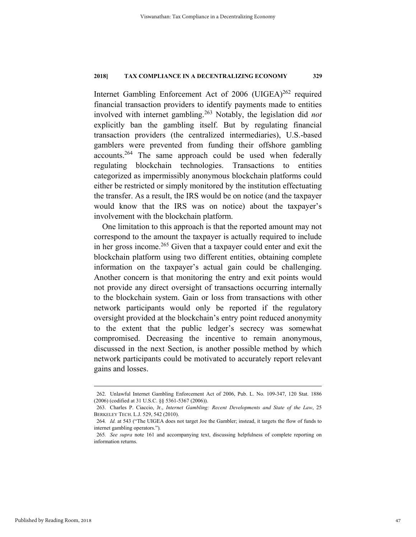Internet Gambling Enforcement Act of 2006 (UIGEA)<sup>262</sup> required financial transaction providers to identify payments made to entities involved with internet gambling.263 Notably, the legislation did *not*  explicitly ban the gambling itself. But by regulating financial transaction providers (the centralized intermediaries), U.S.-based gamblers were prevented from funding their offshore gambling accounts.264 The same approach could be used when federally regulating blockchain technologies. Transactions to entities categorized as impermissibly anonymous blockchain platforms could either be restricted or simply monitored by the institution effectuating the transfer. As a result, the IRS would be on notice (and the taxpayer would know that the IRS was on notice) about the taxpayer's involvement with the blockchain platform.

One limitation to this approach is that the reported amount may not correspond to the amount the taxpayer is actually required to include in her gross income.<sup>265</sup> Given that a taxpayer could enter and exit the blockchain platform using two different entities, obtaining complete information on the taxpayer's actual gain could be challenging. Another concern is that monitoring the entry and exit points would not provide any direct oversight of transactions occurring internally to the blockchain system. Gain or loss from transactions with other network participants would only be reported if the regulatory oversight provided at the blockchain's entry point reduced anonymity to the extent that the public ledger's secrecy was somewhat compromised. Decreasing the incentive to remain anonymous, discussed in the next Section, is another possible method by which network participants could be motivated to accurately report relevant gains and losses.

 <sup>262.</sup> Unlawful Internet Gambling Enforcement Act of 2006, Pub. L. No. 109-347, 120 Stat. 1886 (2006) (codified at 31 U.S.C. §§ 5361-5367 (2006)).

 <sup>263.</sup> Charles P. Ciaccio, Jr., *Internet Gambling: Recent Developments and State of the Law*, 25 BERKELEY TECH. L.J. 529, 542 (2010).

<sup>264</sup>*. Id.* at 543 ("The UIGEA does not target Joe the Gambler; instead, it targets the flow of funds to internet gambling operators.")*.*

<sup>265</sup>*. See supra* note 161 and accompanying text, discussing helpfulness of complete reporting on information returns.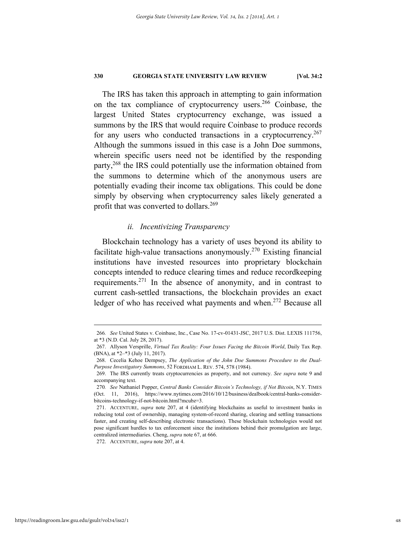The IRS has taken this approach in attempting to gain information on the tax compliance of cryptocurrency users.<sup>266</sup> Coinbase, the largest United States cryptocurrency exchange, was issued a summons by the IRS that would require Coinbase to produce records for any users who conducted transactions in a cryptocurrency.<sup>267</sup> Although the summons issued in this case is a John Doe summons, wherein specific users need not be identified by the responding party,<sup>268</sup> the IRS could potentially use the information obtained from the summons to determine which of the anonymous users are potentially evading their income tax obligations. This could be done simply by observing when cryptocurrency sales likely generated a profit that was converted to dollars.<sup>269</sup>

# *ii. Incentivizing Transparency*

Blockchain technology has a variety of uses beyond its ability to facilitate high-value transactions anonymously.<sup>270</sup> Existing financial institutions have invested resources into proprietary blockchain concepts intended to reduce clearing times and reduce recordkeeping requirements.271 In the absence of anonymity, and in contrast to current cash-settled transactions, the blockchain provides an exact ledger of who has received what payments and when.<sup>272</sup> Because all

272. ACCENTURE, *supra* note 207, at 4.

 <sup>266</sup>*. See* United States v. Coinbase, Inc., Case No. 17-cv-01431-JSC, 2017 U.S. Dist. LEXIS 111756, at \*3 (N.D. Cal. July 28, 2017).

 <sup>267.</sup> Allyson Versprille, *Virtual Tax Reality: Four Issues Facing the Bitcoin World*, Daily Tax Rep. (BNA), at \*2–\*3 (July 11, 2017).

 <sup>268.</sup> Cecelia Kehoe Dempsey, *The Application of the John Doe Summons Procedure to the Dual-Purpose Investigatory Summons*, 52 FORDHAM L. REV. 574, 578 (1984).

 <sup>269.</sup> The IRS currently treats cryptocurrencies as property, and not currency. *See supra* note 9 and accompanying text.

<sup>270</sup>*. See* Nathaniel Popper, *Central Banks Consider Bitcoin's Technology, if Not Bitcoin*, N.Y. TIMES (Oct. 11, 2016), https://www.nytimes.com/2016/10/12/business/dealbook/central-banks-considerbitcoins-technology-if-not-bitcoin.html?mcubz=3.

 <sup>271.</sup> ACCENTURE, *supra* note 207, at 4 (identifying blockchains as useful to investment banks in reducing total cost of ownership, managing system-of-record sharing, clearing and settling transactions faster, and creating self-describing electronic transactions). These blockchain technologies would not pose significant hurdles to tax enforcement since the institutions behind their promulgation are large, centralized intermediaries. Cheng, *supra* note 67, at 666.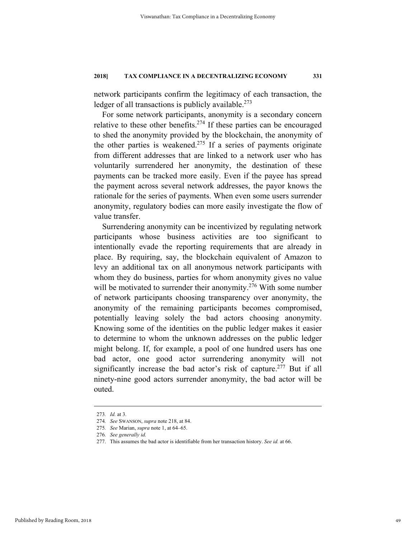network participants confirm the legitimacy of each transaction, the ledger of all transactions is publicly available.<sup>273</sup>

For some network participants, anonymity is a secondary concern relative to these other benefits.<sup>274</sup> If these parties can be encouraged to shed the anonymity provided by the blockchain, the anonymity of the other parties is weakened.<sup>275</sup> If a series of payments originate from different addresses that are linked to a network user who has voluntarily surrendered her anonymity, the destination of these payments can be tracked more easily. Even if the payee has spread the payment across several network addresses, the payor knows the rationale for the series of payments. When even some users surrender anonymity, regulatory bodies can more easily investigate the flow of value transfer.

Surrendering anonymity can be incentivized by regulating network participants whose business activities are too significant to intentionally evade the reporting requirements that are already in place. By requiring, say, the blockchain equivalent of Amazon to levy an additional tax on all anonymous network participants with whom they do business, parties for whom anonymity gives no value will be motivated to surrender their anonymity.<sup>276</sup> With some number of network participants choosing transparency over anonymity, the anonymity of the remaining participants becomes compromised, potentially leaving solely the bad actors choosing anonymity. Knowing some of the identities on the public ledger makes it easier to determine to whom the unknown addresses on the public ledger might belong. If, for example, a pool of one hundred users has one bad actor, one good actor surrendering anonymity will not significantly increase the bad actor's risk of capture.<sup>277</sup> But if all ninety-nine good actors surrender anonymity, the bad actor will be outed.

 <sup>273</sup>*. Id.* at 3.

<sup>274</sup>*. See* SWANSON, *supra* note 218, at 84.

<sup>275</sup>*. See* Marian, *supra* note 1, at 64–65.

<sup>276</sup>*. See generally id.*

 <sup>277.</sup> This assumes the bad actor is identifiable from her transaction history. *See id.* at 66.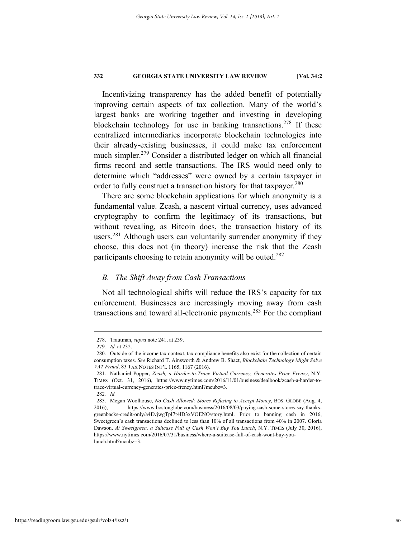Incentivizing transparency has the added benefit of potentially improving certain aspects of tax collection. Many of the world's largest banks are working together and investing in developing blockchain technology for use in banking transactions.<sup>278</sup> If these centralized intermediaries incorporate blockchain technologies into their already-existing businesses, it could make tax enforcement much simpler.<sup>279</sup> Consider a distributed ledger on which all financial firms record and settle transactions. The IRS would need only to determine which "addresses" were owned by a certain taxpayer in order to fully construct a transaction history for that taxpayer.<sup>280</sup>

There are some blockchain applications for which anonymity is a fundamental value. Zcash, a nascent virtual currency, uses advanced cryptography to confirm the legitimacy of its transactions, but without revealing, as Bitcoin does, the transaction history of its users.<sup>281</sup> Although users can voluntarily surrender anonymity if they choose, this does not (in theory) increase the risk that the Zcash participants choosing to retain anonymity will be outed.<sup>282</sup>

# *B. The Shift Away from Cash Transactions*

Not all technological shifts will reduce the IRS's capacity for tax enforcement. Businesses are increasingly moving away from cash transactions and toward all-electronic payments.283 For the compliant

 <sup>278.</sup> Trautman, *supra* note 241, at 239.

<sup>279</sup>*. Id.* at 232.

 <sup>280.</sup> Outside of the income tax context, tax compliance benefits also exist for the collection of certain consumption taxes. *See* Richard T. Ainsworth & Andrew B. Shact, *Blockchain Technology Might Solve VAT Fraud*, 83 TAX NOTES INT'L 1165, 1167 (2016).

 <sup>281.</sup> Nathaniel Popper, *Zcash, a Harder-to-Trace Virtual Currency, Generates Price Frenzy*, N.Y. TIMES (Oct. 31, 2016), https://www.nytimes.com/2016/11/01/business/dealbook/zcash-a-harder-totrace-virtual-currency-generates-price-frenzy.html?mcubz=3.

<sup>282</sup>*. Id.* 

 <sup>283.</sup> Megan Woolhouse, *No Cash Allowed: Stores Refusing to Accept Money*, BOS. GLOBE (Aug. 4, 2016), https://www.bostonglobe.com/business/2016/08/03/paying-cash-some-stores-say-thanksgreenbacks-credit-only/a4EvjwgTpI7r4lD3xVOENO/story.html. Prior to banning cash in 2016, Sweetgreen's cash transactions declined to less than 10% of all transactions from 40% in 2007. Gloria Dawson, *At Sweetgreen, a Suitcase Full of Cash Won't Buy You Lunch*, N.Y. TIMES (July 30, 2016), https://www.nytimes.com/2016/07/31/business/where-a-suitcase-full-of-cash-wont-buy-youlunch.html?mcubz=3.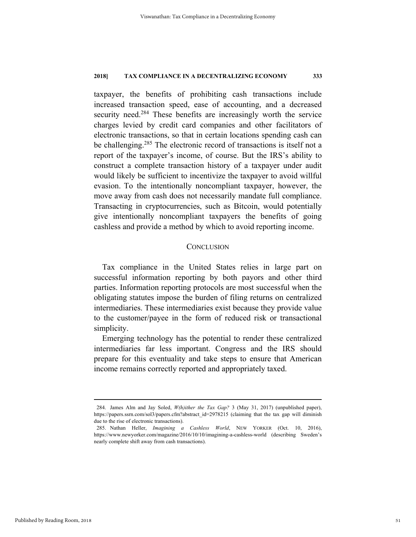taxpayer, the benefits of prohibiting cash transactions include increased transaction speed, ease of accounting, and a decreased security need.<sup>284</sup> These benefits are increasingly worth the service charges levied by credit card companies and other facilitators of electronic transactions, so that in certain locations spending cash can be challenging.<sup>285</sup> The electronic record of transactions is itself not a report of the taxpayer's income, of course. But the IRS's ability to construct a complete transaction history of a taxpayer under audit would likely be sufficient to incentivize the taxpayer to avoid willful evasion. To the intentionally noncompliant taxpayer, however, the move away from cash does not necessarily mandate full compliance. Transacting in cryptocurrencies, such as Bitcoin, would potentially give intentionally noncompliant taxpayers the benefits of going cashless and provide a method by which to avoid reporting income.

#### **CONCLUSION**

Tax compliance in the United States relies in large part on successful information reporting by both payors and other third parties. Information reporting protocols are most successful when the obligating statutes impose the burden of filing returns on centralized intermediaries. These intermediaries exist because they provide value to the customer/payee in the form of reduced risk or transactional simplicity.

Emerging technology has the potential to render these centralized intermediaries far less important. Congress and the IRS should prepare for this eventuality and take steps to ensure that American income remains correctly reported and appropriately taxed.

 <sup>284.</sup> James Alm and Jay Soled, *W(h)ither the Tax Gap?* 3 (May 31, 2017) (unpublished paper), https://papers.ssrn.com/sol3/papers.cfm?abstract\_id=2978215 (claiming that the tax gap will diminish due to the rise of electronic transactions).

 <sup>285.</sup> Nathan Heller, *Imagining a Cashless World*, NEW YORKER (Oct. 10, 2016), https://www.newyorker.com/magazine/2016/10/10/imagining-a-cashless-world (describing Sweden's nearly complete shift away from cash transactions).